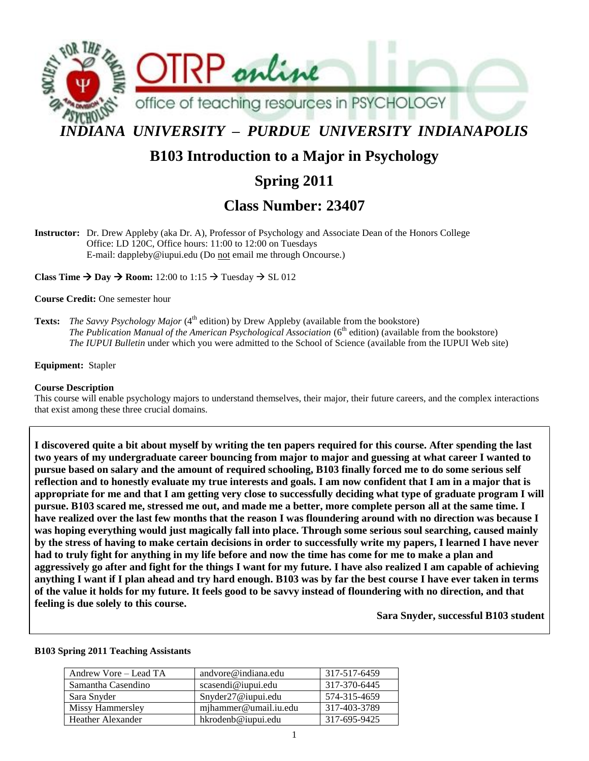

## **B103 Introduction to a Major in Psychology**

## **Spring 2011**

## **Class Number: 23407**

**Instructor:** Dr. Drew Appleby (aka Dr. A), Professor of Psychology and Associate Dean of the Honors College Office: LD 120C, Office hours: 11:00 to 12:00 on Tuesdays E-mail: dappleby@iupui.edu (Do not email me through Oncourse.)

**Class Time**  $\rightarrow$  **Day**  $\rightarrow$  **Room: 12:00 to 1:15**  $\rightarrow$  **Tuesday**  $\rightarrow$  **SL 012** 

**Course Credit:** One semester hour

**Texts:** *The Savvy Psychology Major* (4<sup>th</sup> edition) by Drew Appleby (available from the bookstore) *The Publication Manual of the American Psychological Association* (6<sup>th</sup> edition) (available from the bookstore) *The IUPUI Bulletin* under which you were admitted to the School of Science (available from the IUPUI Web site)

#### **Equipment:** Stapler

#### **Course Description**

This course will enable psychology majors to understand themselves, their major, their future careers, and the complex interactions that exist among these three crucial domains.

**I discovered quite a bit about myself by writing the ten papers required for this course. After spending the last two years of my undergraduate career bouncing from major to major and guessing at what career I wanted to pursue based on salary and the amount of required schooling, B103 finally forced me to do some serious self reflection and to honestly evaluate my true interests and goals. I am now confident that I am in a major that is appropriate for me and that I am getting very close to successfully deciding what type of graduate program I will pursue. B103 scared me, stressed me out, and made me a better, more complete person all at the same time. I have realized over the last few months that the reason I was floundering around with no direction was because I was hoping everything would just magically fall into place. Through some serious soul searching, caused mainly by the stress of having to make certain decisions in order to successfully write my papers, I learned I have never had to truly fight for anything in my life before and now the time has come for me to make a plan and aggressively go after and fight for the things I want for my future. I have also realized I am capable of achieving anything I want if I plan ahead and try hard enough. B103 was by far the best course I have ever taken in terms of the value it holds for my future. It feels good to be savvy instead of floundering with no direction, and that feeling is due solely to this course.**

**Sara Snyder, successful B103 student**

#### **B103 Spring 2011 Teaching Assistants**

| Andrew Vore – Lead TA | andvore@indiana.edu   | 317-517-6459 |
|-----------------------|-----------------------|--------------|
| Samantha Casendino    | scasendi@iupui.edu    | 317-370-6445 |
| Sara Snyder           | Snyder27@iupui.edu    | 574-315-4659 |
| Missy Hammersley      | mjhammer@umail.iu.edu | 317-403-3789 |
| Heather Alexander     | hkrodenb@iupui.edu    | 317-695-9425 |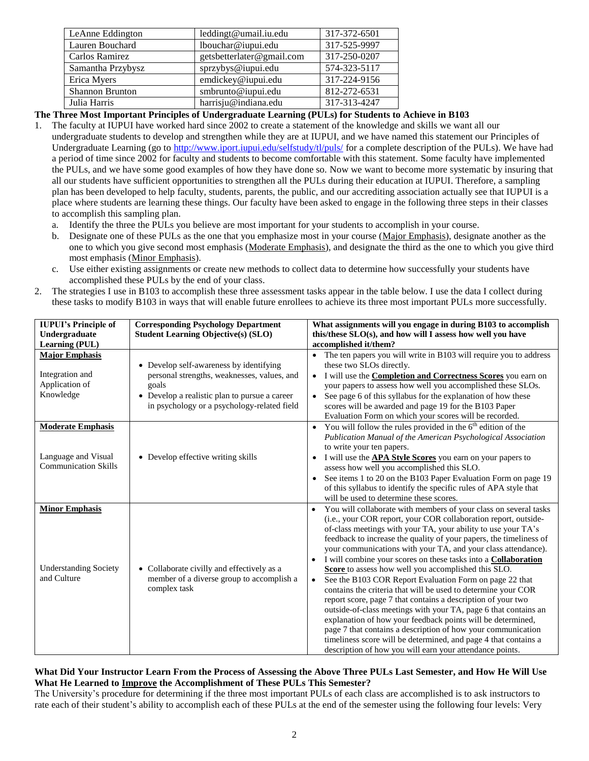| LeAnne Eddington       | leddingt@umail.iu.edu     | 317-372-6501 |
|------------------------|---------------------------|--------------|
| Lauren Bouchard        | lbouchar@iupui.edu        | 317-525-9997 |
| Carlos Ramirez         | getsbetterlater@gmail.com | 317-250-0207 |
| Samantha Przybysz      | sprzybys@iupui.edu        | 574-323-5117 |
| Erica Myers            | emdickey@iupui.edu        | 317-224-9156 |
| <b>Shannon Brunton</b> | smbrunto@iupui.edu        | 812-272-6531 |
| Julia Harris           | harrisju@indiana.edu      | 317-313-4247 |

#### **The Three Most Important Principles of Undergraduate Learning (PULs) for Students to Achieve in B103**

- 1. The faculty at IUPUI have worked hard since 2002 to create a statement of the knowledge and skills we want all our undergraduate students to develop and strengthen while they are at IUPUI, and we have named this statement our Principles of Undergraduate Learning (go to<http://www.iport.iupui.edu/selfstudy/tl/puls/> for a complete description of the PULs). We have had a period of time since 2002 for faculty and students to become comfortable with this statement. Some faculty have implemented the PULs, and we have some good examples of how they have done so. Now we want to become more systematic by insuring that all our students have sufficient opportunities to strengthen all the PULs during their education at IUPUI. Therefore, a sampling plan has been developed to help faculty, students, parents, the public, and our accrediting association actually see that IUPUI is a place where students are learning these things. Our faculty have been asked to engage in the following three steps in their classes to accomplish this sampling plan.
	- a. Identify the three the PULs you believe are most important for your students to accomplish in your course.
	- b. Designate one of these PULs as the one that you emphasize most in your course (Major Emphasis), designate another as the one to which you give second most emphasis (Moderate Emphasis), and designate the third as the one to which you give third most emphasis (Minor Emphasis).
	- c. Use either existing assignments or create new methods to collect data to determine how successfully your students have accomplished these PULs by the end of your class.
- 2. The strategies I use in B103 to accomplish these three assessment tasks appear in the table below. I use the data I collect during these tasks to modify B103 in ways that will enable future enrollees to achieve its three most important PULs more successfully.

| <b>IUPUI's Principle of</b>                                                    | <b>Corresponding Psychology Department</b>                                                                                                                                                      | What assignments will you engage in during B103 to accomplish                                                                                                                                                                                                                                                                                                                                                                                                                                                                                                                                                                                                                                                                                                                                                                                                                                                                                                                                                                                   |  |  |
|--------------------------------------------------------------------------------|-------------------------------------------------------------------------------------------------------------------------------------------------------------------------------------------------|-------------------------------------------------------------------------------------------------------------------------------------------------------------------------------------------------------------------------------------------------------------------------------------------------------------------------------------------------------------------------------------------------------------------------------------------------------------------------------------------------------------------------------------------------------------------------------------------------------------------------------------------------------------------------------------------------------------------------------------------------------------------------------------------------------------------------------------------------------------------------------------------------------------------------------------------------------------------------------------------------------------------------------------------------|--|--|
| Undergraduate                                                                  | <b>Student Learning Objective(s) (SLO)</b>                                                                                                                                                      | this/these SLO(s), and how will I assess how well you have                                                                                                                                                                                                                                                                                                                                                                                                                                                                                                                                                                                                                                                                                                                                                                                                                                                                                                                                                                                      |  |  |
| Learning (PUL)                                                                 |                                                                                                                                                                                                 | accomplished it/them?                                                                                                                                                                                                                                                                                                                                                                                                                                                                                                                                                                                                                                                                                                                                                                                                                                                                                                                                                                                                                           |  |  |
| <b>Major Emphasis</b><br>Integration and<br>Application of<br>Knowledge        | • Develop self-awareness by identifying<br>personal strengths, weaknesses, values, and<br>goals<br>• Develop a realistic plan to pursue a career<br>in psychology or a psychology-related field | • The ten papers you will write in B103 will require you to address<br>these two SLOs directly.<br>I will use the <b>Completion and Correctness Scores</b> you earn on<br>$\bullet$<br>your papers to assess how well you accomplished these SLOs.<br>See page 6 of this syllabus for the explanation of how these<br>$\bullet$<br>scores will be awarded and page 19 for the B103 Paper<br>Evaluation Form on which your scores will be recorded.                                                                                                                                                                                                                                                                                                                                                                                                                                                                                                                                                                                              |  |  |
| <b>Moderate Emphasis</b><br>Language and Visual<br><b>Communication Skills</b> | • Develop effective writing skills                                                                                                                                                              | • You will follow the rules provided in the $6th$ edition of the<br>Publication Manual of the American Psychological Association<br>to write your ten papers.<br>I will use the <b>APA Style Scores</b> you earn on your papers to<br>$\bullet$<br>assess how well you accomplished this SLO.<br>See items 1 to 20 on the B103 Paper Evaluation Form on page 19<br>$\bullet$<br>of this syllabus to identify the specific rules of APA style that<br>will be used to determine these scores.                                                                                                                                                                                                                                                                                                                                                                                                                                                                                                                                                    |  |  |
| <b>Minor Emphasis</b><br><b>Understanding Society</b><br>and Culture           | • Collaborate civilly and effectively as a<br>member of a diverse group to accomplish a<br>complex task                                                                                         | You will collaborate with members of your class on several tasks<br>$\bullet$<br>(i.e., your COR report, your COR collaboration report, outside-<br>of-class meetings with your TA, your ability to use your TA's<br>feedback to increase the quality of your papers, the timeliness of<br>your communications with your TA, and your class attendance).<br>I will combine your scores on these tasks into a <b>Collaboration</b><br>$\bullet$<br>Score to assess how well you accomplished this SLO.<br>See the B103 COR Report Evaluation Form on page 22 that<br>$\bullet$<br>contains the criteria that will be used to determine your COR<br>report score, page 7 that contains a description of your two<br>outside-of-class meetings with your TA, page 6 that contains an<br>explanation of how your feedback points will be determined,<br>page 7 that contains a description of how your communication<br>timeliness score will be determined, and page 4 that contains a<br>description of how you will earn your attendance points. |  |  |

#### **What Did Your Instructor Learn From the Process of Assessing the Above Three PULs Last Semester, and How He Will Use What He Learned to Improve the Accomplishment of These PULs This Semester?**

The University's procedure for determining if the three most important PULs of each class are accomplished is to ask instructors to rate each of their student's ability to accomplish each of these PULs at the end of the semester using the following four levels: Very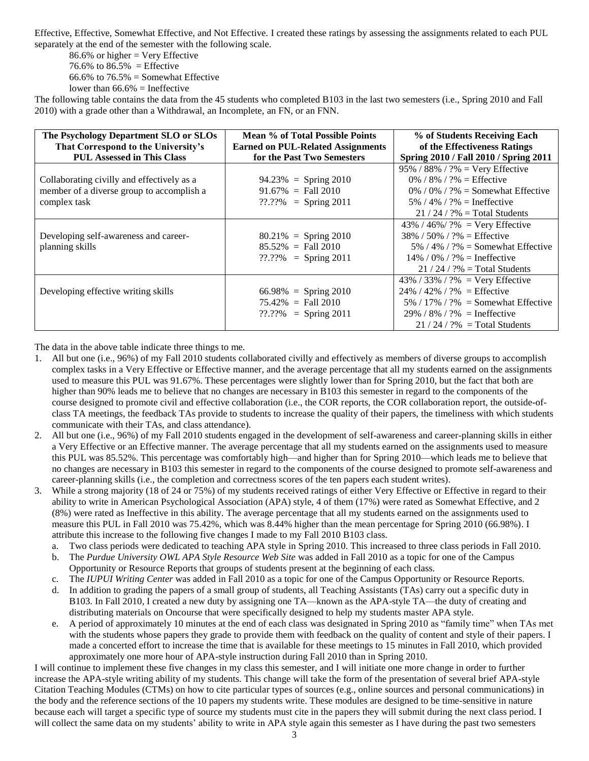Effective, Effective, Somewhat Effective, and Not Effective. I created these ratings by assessing the assignments related to each PUL separately at the end of the semester with the following scale.

 $86.6\%$  or higher = Very Effective 76.6% to  $86.5% =$  Effective

66.6% to  $76.5%$  = Somewhat Effective lower than  $66.6\%$  = Ineffective

The following table contains the data from the 45 students who completed B103 in the last two semesters (i.e., Spring 2010 and Fall 2010) with a grade other than a Withdrawal, an Incomplete, an FN, or an FNN.

| The Psychology Department SLO or SLOs      | Mean % of Total Possible Points          | % of Students Receiving Each               |
|--------------------------------------------|------------------------------------------|--------------------------------------------|
| That Correspond to the University's        | <b>Earned on PUL-Related Assignments</b> | of the Effectiveness Ratings               |
| <b>PUL Assessed in This Class</b>          | for the Past Two Semesters               | Spring 2010 / Fall 2010 / Spring 2011      |
|                                            |                                          | 95% / 88% / ?% = Very Effective            |
| Collaborating civilly and effectively as a | $94.23\% =$ Spring 2010                  | 0% / 8% / ?% = Effective                   |
| member of a diverse group to accomplish a  | $91.67\% = \text{Fall } 2010$            | $0\%$ / $0\%$ / $?$ % = Somewhat Effective |
| complex task                               | $??\.?\% = Spring 2011$                  | 5% / 4% / ?% = Ineffective                 |
|                                            |                                          | $21/24/$ ?% = Total Students               |
|                                            |                                          | 43% / 46%/ $?%$ = Very Effective           |
| Developing self-awareness and career-      | $80.21\% =$ Spring 2010                  | $38\%$ / 50% / ?% = Effective              |
| planning skills                            | $85.52\% = \text{Fall } 2010$            | 5% / 4% / ?% = Somewhat Effective          |
|                                            | $??\.?\% = Spring 2011$                  | $14\%$ / 0% / ?% = Ineffective             |
|                                            |                                          | $21/24/$ ?% = Total Students               |
|                                            |                                          | 43% / 33% / ?% = Very Effective            |
| Developing effective writing skills        | $66.98\% =$ Spring 2010                  | $24\%$ / 42\% / ?\% = Effective            |
|                                            | $75.42\% = \text{Fall } 2010$            | 5% / 17% / ?% = Somewhat Effective         |
|                                            | $??\, ??\% = Spring 2011$                | $29\%$ / 8% / ?% = Ineffective             |
|                                            |                                          | $21/24/$ ?% = Total Students               |

The data in the above table indicate three things to me.

- 1. All but one (i.e., 96%) of my Fall 2010 students collaborated civilly and effectively as members of diverse groups to accomplish complex tasks in a Very Effective or Effective manner, and the average percentage that all my students earned on the assignments used to measure this PUL was 91.67%. These percentages were slightly lower than for Spring 2010, but the fact that both are higher than 90% leads me to believe that no changes are necessary in B103 this semester in regard to the components of the course designed to promote civil and effective collaboration (i.e., the COR reports, the COR collaboration report, the outside-ofclass TA meetings, the feedback TAs provide to students to increase the quality of their papers, the timeliness with which students communicate with their TAs, and class attendance).
- 2. All but one (i.e., 96%) of my Fall 2010 students engaged in the development of self-awareness and career-planning skills in either a Very Effective or an Effective manner. The average percentage that all my students earned on the assignments used to measure this PUL was 85.52%. This percentage was comfortably high—and higher than for Spring 2010—which leads me to believe that no changes are necessary in B103 this semester in regard to the components of the course designed to promote self-awareness and career-planning skills (i.e., the completion and correctness scores of the ten papers each student writes).
- 3. While a strong majority (18 of 24 or 75%) of my students received ratings of either Very Effective or Effective in regard to their ability to write in American Psychological Association (APA) style, 4 of them (17%) were rated as Somewhat Effective, and 2 (8%) were rated as Ineffective in this ability. The average percentage that all my students earned on the assignments used to measure this PUL in Fall 2010 was 75.42%, which was 8.44% higher than the mean percentage for Spring 2010 (66.98%). I attribute this increase to the following five changes I made to my Fall 2010 B103 class.
	- a. Two class periods were dedicated to teaching APA style in Spring 2010. This increased to three class periods in Fall 2010.
	- b. The *Purdue University OWL APA Style Resource Web Site* was added in Fall 2010 as a topic for one of the Campus Opportunity or Resource Reports that groups of students present at the beginning of each class.
	- c. The *IUPUI Writing Center* was added in Fall 2010 as a topic for one of the Campus Opportunity or Resource Reports.
	- d. In addition to grading the papers of a small group of students, all Teaching Assistants (TAs) carry out a specific duty in B103. In Fall 2010, I created a new duty by assigning one TA—known as the APA-style TA—the duty of creating and distributing materials on Oncourse that were specifically designed to help my students master APA style.
	- e. A period of approximately 10 minutes at the end of each class was designated in Spring 2010 as "family time" when TAs met with the students whose papers they grade to provide them with feedback on the quality of content and style of their papers. I made a concerted effort to increase the time that is available for these meetings to 15 minutes in Fall 2010, which provided approximately one more hour of APA-style instruction during Fall 2010 than in Spring 2010.

I will continue to implement these five changes in my class this semester, and I will initiate one more change in order to further increase the APA-style writing ability of my students. This change will take the form of the presentation of several brief APA-style Citation Teaching Modules (CTMs) on how to cite particular types of sources (e.g., online sources and personal communications) in the body and the reference sections of the 10 papers my students write. These modules are designed to be time-sensitive in nature because each will target a specific type of source my students must cite in the papers they will submit during the next class period. I will collect the same data on my students' ability to write in APA style again this semester as I have during the past two semesters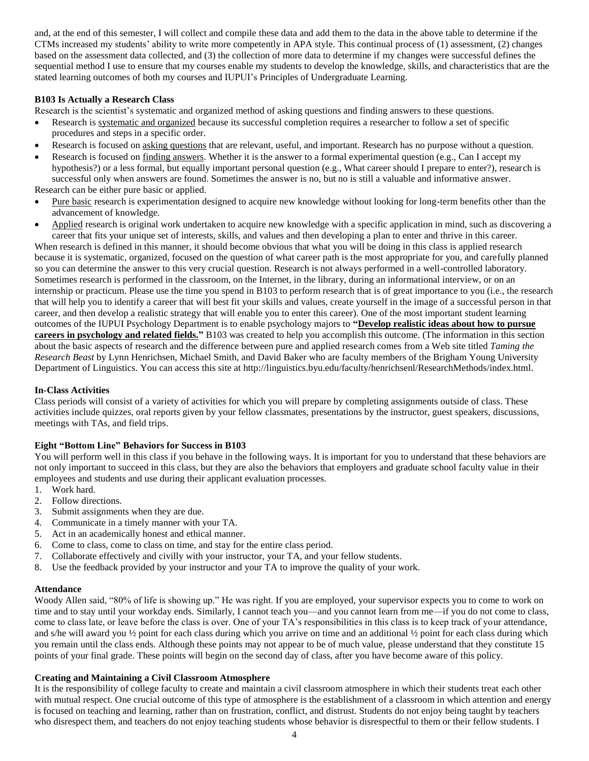and, at the end of this semester, I will collect and compile these data and add them to the data in the above table to determine if the CTMs increased my students' ability to write more competently in APA style. This continual process of (1) assessment, (2) changes based on the assessment data collected, and (3) the collection of more data to determine if my changes were successful defines the sequential method I use to ensure that my courses enable my students to develop the knowledge, skills, and characteristics that are the stated learning outcomes of both my courses and IUPUI's Principles of Undergraduate Learning.

#### **B103 Is Actually a Research Class**

Research is the scientist's systematic and organized method of asking questions and finding answers to these questions.

- Research is systematic and organized because its successful completion requires a researcher to follow a set of specific procedures and steps in a specific order.
- Research is focused on asking questions that are relevant, useful, and important. Research has no purpose without a question.
- Research is focused on finding answers. Whether it is the answer to a formal experimental question (e.g., Can I accept my hypothesis?) or a less formal, but equally important personal question (e.g., What career should I prepare to enter?), research is successful only when answers are found. Sometimes the answer is no, but no is still a valuable and informative answer. Research can be either pure basic or applied.
- Pure basic research is experimentation designed to acquire new knowledge without looking for long-term benefits other than the advancement of knowledge.
- Applied research is original work undertaken to acquire new knowledge with a specific application in mind, such as discovering a career that fits your unique set of interests, skills, and values and then developing a plan to enter and thrive in this career.

When research is defined in this manner, it should become obvious that what you will be doing in this class is applied research because it is systematic, organized, focused on the question of what career path is the most appropriate for you, and carefully planned so you can determine the answer to this very crucial question. Research is not always performed in a well-controlled laboratory. Sometimes research is performed in the classroom, on the Internet, in the library, during an informational interview, or on an internship or practicum. Please use the time you spend in B103 to perform research that is of great importance to you (i.e., the research that will help you to identify a career that will best fit your skills and values, create yourself in the image of a successful person in that career, and then develop a realistic strategy that will enable you to enter this career). One of the most important student learning outcomes of the IUPUI Psychology Department is to enable psychology majors to **"Develop realistic ideas about how to pursue careers in psychology and related fields."** B103 was created to help you accomplish this outcome. (The information in this section about the basic aspects of research and the difference between pure and applied research comes from a Web site titled *Taming the Research Beast* by Lynn Henrichsen, Michael Smith, and David Baker who are faculty members of the Brigham Young University Department of Linguistics. You can access this site at [http://linguistics.byu.edu/faculty/henrichsenl/ResearchMethods/index.html.](http://linguistics.byu.edu/faculty/henrichsenl/ResearchMethods/index.html)

#### **In-Class Activities**

Class periods will consist of a variety of activities for which you will prepare by completing assignments outside of class. These activities include quizzes, oral reports given by your fellow classmates, presentations by the instructor, guest speakers, discussions, meetings with TAs, and field trips.

#### **Eight "Bottom Line" Behaviors for Success in B103**

You will perform well in this class if you behave in the following ways. It is important for you to understand that these behaviors are not only important to succeed in this class, but they are also the behaviors that employers and graduate school faculty value in their employees and students and use during their applicant evaluation processes.

- 1. Work hard.
- 2. Follow directions.
- 3. Submit assignments when they are due.
- 4. Communicate in a timely manner with your TA.
- 5. Act in an academically honest and ethical manner.
- 6. Come to class, come to class on time, and stay for the entire class period.
- 7. Collaborate effectively and civilly with your instructor, your TA, and your fellow students.
- 8. Use the feedback provided by your instructor and your TA to improve the quality of your work.

#### **Attendance**

Woody Allen said, "80% of life is showing up." He was right. If you are employed, your supervisor expects you to come to work on time and to stay until your workday ends. Similarly, I cannot teach you—and you cannot learn from me—if you do not come to class, come to class late, or leave before the class is over. One of your TA's responsibilities in this class is to keep track of your attendance, and s/he will award you ½ point for each class during which you arrive on time and an additional ½ point for each class during which you remain until the class ends. Although these points may not appear to be of much value, please understand that they constitute 15 points of your final grade. These points will begin on the second day of class, after you have become aware of this policy.

#### **Creating and Maintaining a Civil Classroom Atmosphere**

It is the responsibility of college faculty to create and maintain a civil classroom atmosphere in which their students treat each other with mutual respect. One crucial outcome of this type of atmosphere is the establishment of a classroom in which attention and energy is focused on teaching and learning, rather than on frustration, conflict, and distrust. Students do not enjoy being taught by teachers who disrespect them, and teachers do not enjoy teaching students whose behavior is disrespectful to them or their fellow students. I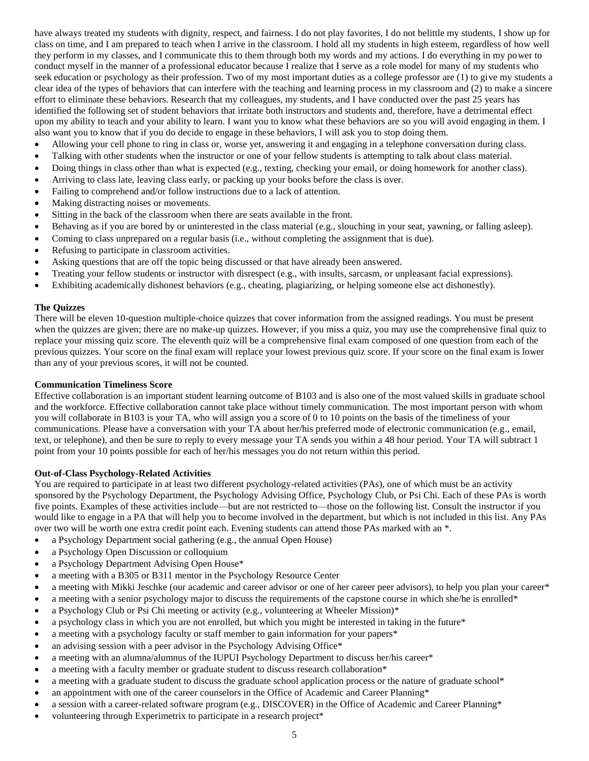have always treated my students with dignity, respect, and fairness. I do not play favorites, I do not belittle my students, I show up for class on time, and I am prepared to teach when I arrive in the classroom. I hold all my students in high esteem, regardless of how well they perform in my classes, and I communicate this to them through both my words and my actions. I do everything in my power to conduct myself in the manner of a professional educator because I realize that I serve as a role model for many of my students who seek education or psychology as their profession. Two of my most important duties as a college professor are (1) to give my students a clear idea of the types of behaviors that can interfere with the teaching and learning process in my classroom and (2) to make a sincere effort to eliminate these behaviors. Research that my colleagues, my students, and I have conducted over the past 25 years has identified the following set of student behaviors that irritate both instructors and students and, therefore, have a detrimental effect upon my ability to teach and your ability to learn. I want you to know what these behaviors are so you will avoid engaging in them. I also want you to know that if you do decide to engage in these behaviors, I will ask you to stop doing them.

- Allowing your cell phone to ring in class or, worse yet, answering it and engaging in a telephone conversation during class.
- Talking with other students when the instructor or one of your fellow students is attempting to talk about class material.
- Doing things in class other than what is expected (e.g., texting, checking your email, or doing homework for another class).
- Arriving to class late, leaving class early, or packing up your books before the class is over.
- Failing to comprehend and/or follow instructions due to a lack of attention.
- Making distracting noises or movements.
- Sitting in the back of the classroom when there are seats available in the front.
- Behaving as if you are bored by or uninterested in the class material (e.g., slouching in your seat, yawning, or falling asleep).
- Coming to class unprepared on a regular basis (i.e., without completing the assignment that is due).
- Refusing to participate in classroom activities.
- Asking questions that are off the topic being discussed or that have already been answered.
- Treating your fellow students or instructor with disrespect (e.g., with insults, sarcasm, or unpleasant facial expressions).
- Exhibiting academically dishonest behaviors (e.g., cheating, plagiarizing, or helping someone else act dishonestly).

#### **The Quizzes**

There will be eleven 10-question multiple-choice quizzes that cover information from the assigned readings. You must be present when the quizzes are given; there are no make-up quizzes. However, if you miss a quiz, you may use the comprehensive final quiz to replace your missing quiz score. The eleventh quiz will be a comprehensive final exam composed of one question from each of the previous quizzes. Your score on the final exam will replace your lowest previous quiz score. If your score on the final exam is lower than any of your previous scores, it will not be counted.

#### **Communication Timeliness Score**

Effective collaboration is an important student learning outcome of B103 and is also one of the most valued skills in graduate school and the workforce. Effective collaboration cannot take place without timely communication. The most important person with whom you will collaborate in B103 is your TA, who will assign you a score of 0 to 10 points on the basis of the timeliness of your communications. Please have a conversation with your TA about her/his preferred mode of electronic communication (e.g., email, text, or telephone), and then be sure to reply to every message your TA sends you within a 48 hour period. Your TA will subtract 1 point from your 10 points possible for each of her/his messages you do not return within this period.

#### **Out-of-Class Psychology-Related Activities**

You are required to participate in at least two different psychology-related activities (PAs), one of which must be an activity sponsored by the Psychology Department, the Psychology Advising Office, Psychology Club, or Psi Chi. Each of these PAs is worth five points. Examples of these activities include—but are not restricted to—those on the following list. Consult the instructor if you would like to engage in a PA that will help you to become involved in the department, but which is not included in this list. Any PAs over two will be worth one extra credit point each. Evening students can attend those PAs marked with an  $*$ .

- a Psychology Department social gathering (e.g., the annual Open House)
- a Psychology Open Discussion or colloquium
- a Psychology Department Advising Open House\*
- a meeting with a B305 or B311 mentor in the Psychology Resource Center
- a meeting with Mikki Jeschke (our academic and career advisor or one of her career peer advisors), to help you plan your career\*
- a meeting with a senior psychology major to discuss the requirements of the capstone course in which she/he is enrolled\*
- a Psychology Club or Psi Chi meeting or activity (e.g., volunteering at Wheeler Mission)\*
- a psychology class in which you are not enrolled, but which you might be interested in taking in the future\*
- a meeting with a psychology faculty or staff member to gain information for your papers\*
- an advising session with a peer advisor in the Psychology Advising Office\*
- a meeting with an alumna/alumnus of the IUPUI Psychology Department to discuss her/his career\*
- a meeting with a faculty member or graduate student to discuss research collaboration\*
- a meeting with a graduate student to discuss the graduate school application process or the nature of graduate school\*
- an appointment with one of the career counselors in the Office of Academic and Career Planning\*
- a session with a career-related software program (e.g., DISCOVER) in the Office of Academic and Career Planning\*
- volunteering through Experimetrix to participate in a research project\*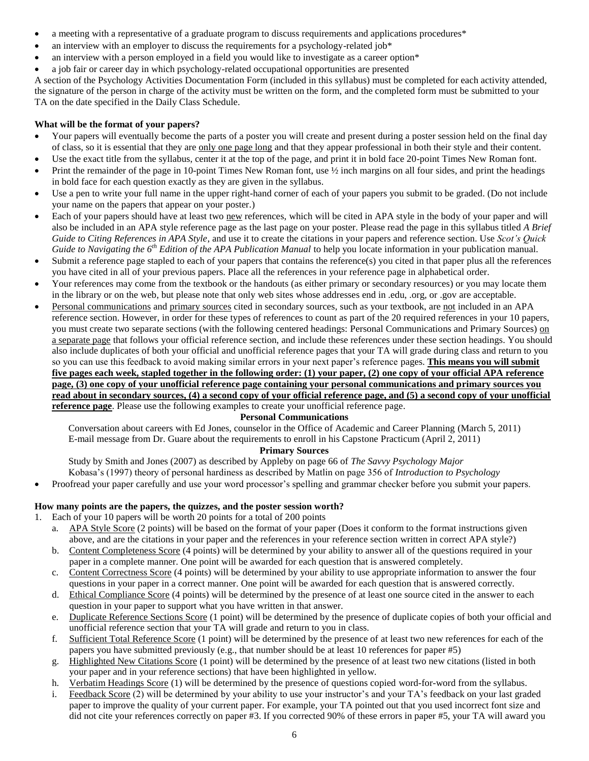- a meeting with a representative of a graduate program to discuss requirements and applications procedures\*
- an interview with an employer to discuss the requirements for a psychology-related job\*
- an interview with a person employed in a field you would like to investigate as a career option\*
- a job fair or career day in which psychology-related occupational opportunities are presented

A section of the Psychology Activities Documentation Form (included in this syllabus) must be completed for each activity attended, the signature of the person in charge of the activity must be written on the form, and the completed form must be submitted to your TA on the date specified in the Daily Class Schedule.

#### **What will be the format of your papers?**

- Your papers will eventually become the parts of a poster you will create and present during a poster session held on the final day of class, so it is essential that they are only one page long and that they appear professional in both their style and their content.
- Use the exact title from the syllabus, center it at the top of the page, and print it in bold face 20-point Times New Roman font.
- Print the remainder of the page in 10-point Times New Roman font, use ½ inch margins on all four sides, and print the headings in bold face for each question exactly as they are given in the syllabus.
- Use a pen to write your full name in the upper right-hand corner of each of your papers you submit to be graded. (Do not include your name on the papers that appear on your poster.)
- Each of your papers should have at least two new references, which will be cited in APA style in the body of your paper and will also be included in an APA style reference page as the last page on your poster. Please read the page in this syllabus titled *A Brief Guide to Citing References in APA Style*, and use it to create the citations in your papers and reference section. Use *Scot's Quick Guide to Navigating the 6th Edition of the APA Publication Manual* to help you locate information in your publication manual.
- Submit a reference page stapled to each of your papers that contains the reference(s) you cited in that paper plus all the references you have cited in all of your previous papers. Place all the references in your reference page in alphabetical order.
- Your references may come from the textbook or the handouts (as either primary or secondary resources) or you may locate them in the library or on the web, but please note that only web sites whose addresses end in .edu, .org, or .gov are acceptable.
- Personal communications and primary sources cited in secondary sources, such as your textbook, are not included in an APA reference section. However, in order for these types of references to count as part of the 20 required references in your 10 papers, you must create two separate sections (with the following centered headings: Personal Communications and Primary Sources) on a separate page that follows your official reference section, and include these references under these section headings. You should also include duplicates of both your official and unofficial reference pages that your TA will grade during class and return to you so you can use this feedback to avoid making similar errors in your next paper's reference pages. **This means you will submit five pages each week, stapled together in the following order: (1) your paper, (2) one copy of your official APA reference page, (3) one copy of your unofficial reference page containing your personal communications and primary sources you read about in secondary sources, (4) a second copy of your official reference page, and (5) a second copy of your unofficial reference page**. Please use the following examples to create your unofficial reference page.

#### **Personal Communications**

 Conversation about careers with Ed Jones, counselor in the Office of Academic and Career Planning (March 5, 2011) E-mail message from Dr. Guare about the requirements to enroll in his Capstone Practicum (April 2, 2011)

#### **Primary Sources**

 Study by Smith and Jones (2007) as described by Appleby on page 66 of *The Savvy Psychology Major* Kobasa's (1997) theory of personal hardiness as described by Matlin on page 356 of *Introduction to Psychology*

Proofread your paper carefully and use your word processor's spelling and grammar checker before you submit your papers.

#### **How many points are the papers, the quizzes, and the poster session worth?**

- 1. Each of your 10 papers will be worth 20 points for a total of 200 points
	- a. APA Style Score (2 points) will be based on the format of your paper (Does it conform to the format instructions given above, and are the citations in your paper and the references in your reference section written in correct APA style?)
	- b. Content Completeness Score (4 points) will be determined by your ability to answer all of the questions required in your paper in a complete manner. One point will be awarded for each question that is answered completely.
	- c. Content Correctness Score (4 points) will be determined by your ability to use appropriate information to answer the four questions in your paper in a correct manner. One point will be awarded for each question that is answered correctly.
	- d. Ethical Compliance Score (4 points) will be determined by the presence of at least one source cited in the answer to each question in your paper to support what you have written in that answer.
	- e. Duplicate Reference Sections Score (1 point) will be determined by the presence of duplicate copies of both your official and unofficial reference section that your TA will grade and return to you in class.
	- f. Sufficient Total Reference Score (1 point) will be determined by the presence of at least two new references for each of the papers you have submitted previously (e.g., that number should be at least 10 references for paper #5)
	- g. Highlighted New Citations Score (1 point) will be determined by the presence of at least two new citations (listed in both your paper and in your reference sections) that have been highlighted in yellow.
	- h. Verbatim Headings Score (1) will be determined by the presence of questions copied word-for-word from the syllabus.
	- i. Feedback Score (2) will be determined by your ability to use your instructor's and your TA's feedback on your last graded paper to improve the quality of your current paper. For example, your TA pointed out that you used incorrect font size and did not cite your references correctly on paper #3. If you corrected 90% of these errors in paper #5, your TA will award you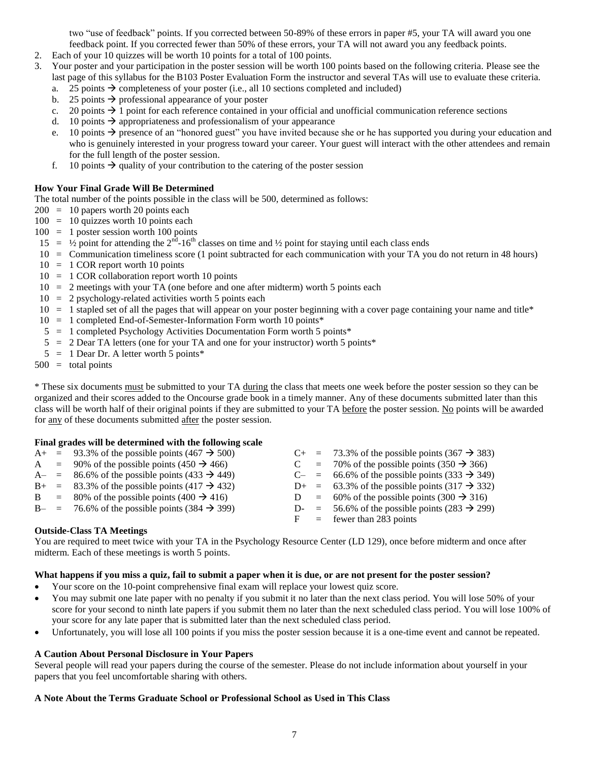two "use of feedback" points. If you corrected between 50-89% of these errors in paper #5, your TA will award you one feedback point. If you corrected fewer than 50% of these errors, your TA will not award you any feedback points.

- 2. Each of your 10 quizzes will be worth 10 points for a total of 100 points.
- 3. Your poster and your participation in the poster session will be worth 100 points based on the following criteria. Please see the last page of this syllabus for the B103 Poster Evaluation Form the instructor and several TAs will use to evaluate these criteria.
	- a. 25 points  $\rightarrow$  completeness of your poster (i.e., all 10 sections completed and included)
	- b. 25 points  $\rightarrow$  professional appearance of your poster
	- c. 20 points  $\rightarrow$  1 point for each reference contained in your official and unofficial communication reference sections
	- d. 10 points  $\rightarrow$  appropriateness and professionalism of your appearance
	- e. 10 points  $\rightarrow$  presence of an "honored guest" you have invited because she or he has supported you during your education and who is genuinely interested in your progress toward your career. Your guest will interact with the other attendees and remain for the full length of the poster session.
	- f. 10 points  $\rightarrow$  quality of your contribution to the catering of the poster session

#### **How Your Final Grade Will Be Determined**

The total number of the points possible in the class will be 500, determined as follows:

- $200 = 10$  papers worth 20 points each
- $100 = 10$  quizzes worth 10 points each
- $100 = 1$  poster session worth 100 points
- $15 = \frac{1}{2}$  point for attending the  $2<sup>nd</sup> 16<sup>th</sup>$  classes on time and  $\frac{1}{2}$  point for staying until each class ends
- 10 = Communication timeliness score (1 point subtracted for each communication with your TA you do not return in 48 hours)
- $10 = 1 \text{ COR report worth } 10 \text{ points}$
- $10 = 1 \text{ COR}$  collaboration report worth 10 points
- 10 = 2 meetings with your TA (one before and one after midterm) worth 5 points each
- $10 = 2$  psychology-related activities worth 5 points each
- $10 = 1$  stapled set of all the pages that will appear on your poster beginning with a cover page containing your name and title\*
- 10 = 1 completed End-of-Semester-Information Form worth 10 points\*
- 5 = 1 completed Psychology Activities Documentation Form worth 5 points\*
- 5 = 2 Dear TA letters (one for your TA and one for your instructor) worth 5 points\*
- $5 = 1$  Dear Dr. A letter worth 5 points\*
- $500 =$  total points

\* These six documents must be submitted to your TA during the class that meets one week before the poster session so they can be organized and their scores added to the Oncourse grade book in a timely manner. Any of these documents submitted later than this class will be worth half of their original points if they are submitted to your TA before the poster session. No points will be awarded for <u>any</u> of these documents submitted after the poster session.

#### **Final grades will be determined with the following scale**

|  | $A_{+}$ = 93.3% of the possible points (467 $\rightarrow$ 500) |   | $C_{+}$ = 73.3% of the possible points (367 $\rightarrow$ 383) |
|--|----------------------------------------------------------------|---|----------------------------------------------------------------|
|  | A = 90% of the possible points $(450 \rightarrow 466)$         |   | C = 70% of the possible points (350 $\rightarrow$ 366)         |
|  | $A- = 86.6\%$ of the possible points (433 $\rightarrow$ 449)   |   | $C_{-}$ = 66.6% of the possible points (333 $\rightarrow$ 349) |
|  | $B_{+}$ = 83.3% of the possible points (417 $\rightarrow$ 432) |   | D+ = 63.3% of the possible points $(317 \rightarrow 332)$      |
|  | B = 80% of the possible points $(400 \div 416)$                |   | D = 60% of the possible points (300 $\rightarrow$ 316)         |
|  | B- = 76.6% of the possible points $(384 \rightarrow 399)$      |   | D- = 56.6% of the possible points (283 $\rightarrow$ 299)      |
|  |                                                                | F | $=$ fewer than 283 points                                      |

#### **Outside-Class TA Meetings**

You are required to meet twice with your TA in the Psychology Resource Center (LD 129), once before midterm and once after midterm. Each of these meetings is worth 5 points.

#### **What happens if you miss a quiz, fail to submit a paper when it is due, or are not present for the poster session?**

- Your score on the 10-point comprehensive final exam will replace your lowest quiz score.
- You may submit one late paper with no penalty if you submit it no later than the next class period. You will lose 50% of your score for your second to ninth late papers if you submit them no later than the next scheduled class period. You will lose 100% of your score for any late paper that is submitted later than the next scheduled class period.
- Unfortunately, you will lose all 100 points if you miss the poster session because it is a one-time event and cannot be repeated.

#### **A Caution About Personal Disclosure in Your Papers**

Several people will read your papers during the course of the semester. Please do not include information about yourself in your papers that you feel uncomfortable sharing with others.

#### **A Note About the Terms Graduate School or Professional School as Used in This Class**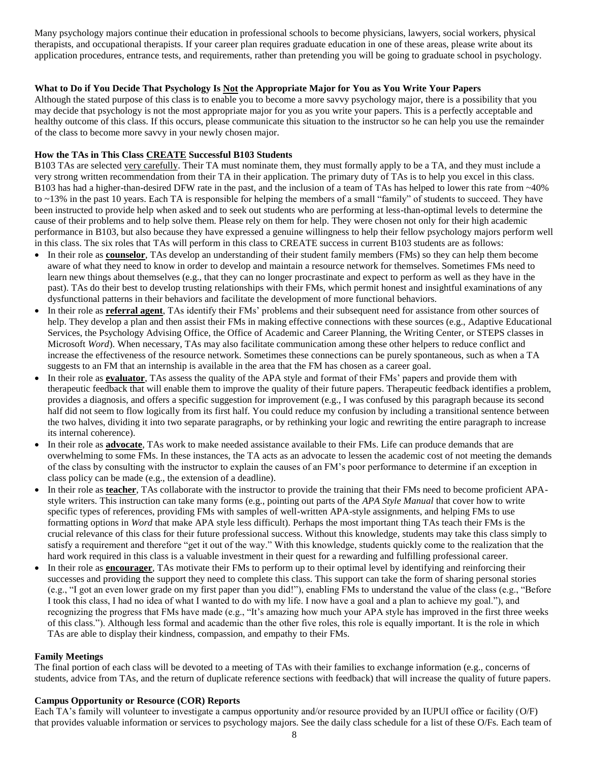Many psychology majors continue their education in professional schools to become physicians, lawyers, social workers, physical therapists, and occupational therapists. If your career plan requires graduate education in one of these areas, please write about its application procedures, entrance tests, and requirements, rather than pretending you will be going to graduate school in psychology.

#### **What to Do if You Decide That Psychology Is Not the Appropriate Major for You as You Write Your Papers**

Although the stated purpose of this class is to enable you to become a more savvy psychology major, there is a possibility that you may decide that psychology is not the most appropriate major for you as you write your papers. This is a perfectly acceptable and healthy outcome of this class. If this occurs, please communicate this situation to the instructor so he can help you use the remainder of the class to become more savvy in your newly chosen major.

#### **How the TAs in This Class CREATE Successful B103 Students**

B103 TAs are selected very carefully. Their TA must nominate them, they must formally apply to be a TA, and they must include a very strong written recommendation from their TA in their application. The primary duty of TAs is to help you excel in this class. B103 has had a higher-than-desired DFW rate in the past, and the inclusion of a team of TAs has helped to lower this rate from ~40% to ~13% in the past 10 years. Each TA is responsible for helping the members of a small "family" of students to succeed. They have been instructed to provide help when asked and to seek out students who are performing at less-than-optimal levels to determine the cause of their problems and to help solve them. Please rely on them for help. They were chosen not only for their high academic performance in B103, but also because they have expressed a genuine willingness to help their fellow psychology majors perform well in this class. The six roles that TAs will perform in this class to CREATE success in current B103 students are as follows:

- In their role as **counselor**, TAs develop an understanding of their student family members (FMs) so they can help them become aware of what they need to know in order to develop and maintain a resource network for themselves. Sometimes FMs need to learn new things about themselves (e.g., that they can no longer procrastinate and expect to perform as well as they have in the past). TAs do their best to develop trusting relationships with their FMs, which permit honest and insightful examinations of any dysfunctional patterns in their behaviors and facilitate the development of more functional behaviors.
- In their role as **referral agent**, TAs identify their FMs' problems and their subsequent need for assistance from other sources of help. They develop a plan and then assist their FMs in making effective connections with these sources (e.g., Adaptive Educational Services, the Psychology Advising Office, the Office of Academic and Career Planning, the Writing Center, or STEPS classes in Microsoft *Word*). When necessary, TAs may also facilitate communication among these other helpers to reduce conflict and increase the effectiveness of the resource network. Sometimes these connections can be purely spontaneous, such as when a TA suggests to an FM that an internship is available in the area that the FM has chosen as a career goal.
- In their role as **evaluator**, TAs assess the quality of the APA style and format of their FMs' papers and provide them with therapeutic feedback that will enable them to improve the quality of their future papers. Therapeutic feedback identifies a problem, provides a diagnosis, and offers a specific suggestion for improvement (e.g., I was confused by this paragraph because its second half did not seem to flow logically from its first half. You could reduce my confusion by including a transitional sentence between the two halves, dividing it into two separate paragraphs, or by rethinking your logic and rewriting the entire paragraph to increase its internal coherence).
- In their role as **advocate**, TAs work to make needed assistance available to their FMs. Life can produce demands that are overwhelming to some FMs. In these instances, the TA acts as an advocate to lessen the academic cost of not meeting the demands of the class by consulting with the instructor to explain the causes of an FM's poor performance to determine if an exception in class policy can be made (e.g., the extension of a deadline).
- In their role as **teacher**, TAs collaborate with the instructor to provide the training that their FMs need to become proficient APAstyle writers. This instruction can take many forms (e.g., pointing out parts of the *APA Style Manual* that cover how to write specific types of references, providing FMs with samples of well-written APA-style assignments, and helping FMs to use formatting options in *Word* that make APA style less difficult). Perhaps the most important thing TAs teach their FMs is the crucial relevance of this class for their future professional success. Without this knowledge, students may take this class simply to satisfy a requirement and therefore "get it out of the way." With this knowledge, students quickly come to the realization that the hard work required in this class is a valuable investment in their quest for a rewarding and fulfilling professional career.
- In their role as **encourager**, TAs motivate their FMs to perform up to their optimal level by identifying and reinforcing their successes and providing the support they need to complete this class. This support can take the form of sharing personal stories (e.g., "I got an even lower grade on my first paper than you did!"), enabling FMs to understand the value of the class (e.g., "Before I took this class, I had no idea of what I wanted to do with my life. I now have a goal and a plan to achieve my goal."), and recognizing the progress that FMs have made (e.g., "It's amazing how much your APA style has improved in the first three weeks of this class."). Although less formal and academic than the other five roles, this role is equally important. It is the role in which TAs are able to display their kindness, compassion, and empathy to their FMs.

#### **Family Meetings**

The final portion of each class will be devoted to a meeting of TAs with their families to exchange information (e.g., concerns of students, advice from TAs, and the return of duplicate reference sections with feedback) that will increase the quality of future papers.

#### **Campus Opportunity or Resource (COR) Reports**

Each TA's family will volunteer to investigate a campus opportunity and/or resource provided by an IUPUI office or facility (O/F) that provides valuable information or services to psychology majors. See the daily class schedule for a list of these O/Fs. Each team of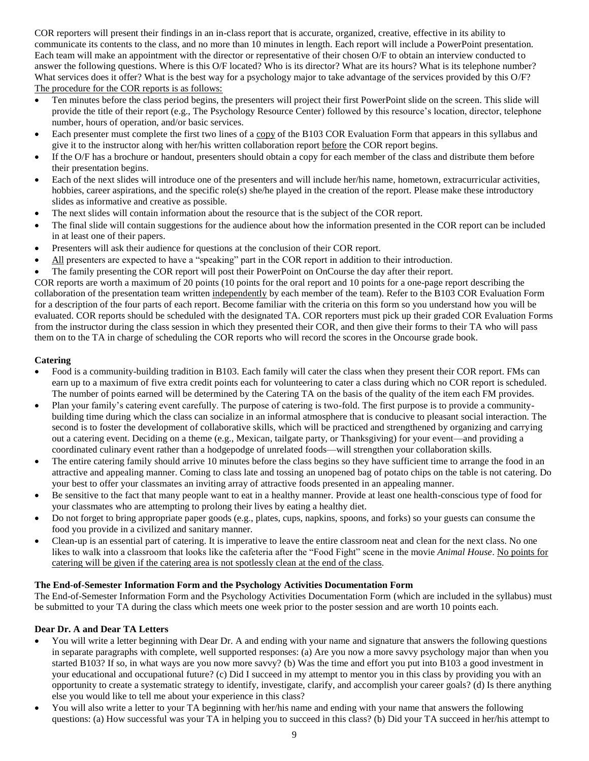COR reporters will present their findings in an in-class report that is accurate, organized, creative, effective in its ability to communicate its contents to the class, and no more than 10 minutes in length. Each report will include a PowerPoint presentation. Each team will make an appointment with the director or representative of their chosen O/F to obtain an interview conducted to answer the following questions. Where is this O/F located? Who is its director? What are its hours? What is its telephone number? What services does it offer? What is the best way for a psychology major to take advantage of the services provided by this O/F? The procedure for the COR reports is as follows:

- Ten minutes before the class period begins, the presenters will project their first PowerPoint slide on the screen. This slide will provide the title of their report (e.g., The Psychology Resource Center) followed by this resource's location, director, telephone number, hours of operation, and/or basic services.
- Each presenter must complete the first two lines of a copy of the B103 COR Evaluation Form that appears in this syllabus and give it to the instructor along with her/his written collaboration report before the COR report begins.
- If the O/F has a brochure or handout, presenters should obtain a copy for each member of the class and distribute them before their presentation begins.
- Each of the next slides will introduce one of the presenters and will include her/his name, hometown, extracurricular activities, hobbies, career aspirations, and the specific role(s) she/he played in the creation of the report. Please make these introductory slides as informative and creative as possible.
- The next slides will contain information about the resource that is the subject of the COR report.
- The final slide will contain suggestions for the audience about how the information presented in the COR report can be included in at least one of their papers.
- Presenters will ask their audience for questions at the conclusion of their COR report.
- All presenters are expected to have a "speaking" part in the COR report in addition to their introduction.
- The family presenting the COR report will post their PowerPoint on OnCourse the day after their report.

COR reports are worth a maximum of 20 points (10 points for the oral report and 10 points for a one-page report describing the collaboration of the presentation team written independently by each member of the team). Refer to the B103 COR Evaluation Form for a description of the four parts of each report. Become familiar with the criteria on this form so you understand how you will be evaluated. COR reports should be scheduled with the designated TA. COR reporters must pick up their graded COR Evaluation Forms from the instructor during the class session in which they presented their COR, and then give their forms to their TA who will pass them on to the TA in charge of scheduling the COR reports who will record the scores in the Oncourse grade book.

#### **Catering**

- Food is a community-building tradition in B103. Each family will cater the class when they present their COR report. FMs can earn up to a maximum of five extra credit points each for volunteering to cater a class during which no COR report is scheduled. The number of points earned will be determined by the Catering TA on the basis of the quality of the item each FM provides.
- Plan your family's catering event carefully. The purpose of catering is two-fold. The first purpose is to provide a communitybuilding time during which the class can socialize in an informal atmosphere that is conducive to pleasant social interaction. The second is to foster the development of collaborative skills, which will be practiced and strengthened by organizing and carrying out a catering event. Deciding on a theme (e.g., Mexican, tailgate party, or Thanksgiving) for your event—and providing a coordinated culinary event rather than a hodgepodge of unrelated foods—will strengthen your collaboration skills.
- The entire catering family should arrive 10 minutes before the class begins so they have sufficient time to arrange the food in an attractive and appealing manner. Coming to class late and tossing an unopened bag of potato chips on the table is not catering. Do your best to offer your classmates an inviting array of attractive foods presented in an appealing manner.
- Be sensitive to the fact that many people want to eat in a healthy manner. Provide at least one health-conscious type of food for your classmates who are attempting to prolong their lives by eating a healthy diet.
- Do not forget to bring appropriate paper goods (e.g., plates, cups, napkins, spoons, and forks) so your guests can consume the food you provide in a civilized and sanitary manner.
- Clean-up is an essential part of catering. It is imperative to leave the entire classroom neat and clean for the next class. No one likes to walk into a classroom that looks like the cafeteria after the "Food Fight" scene in the movie *Animal House*. No points for catering will be given if the catering area is not spotlessly clean at the end of the class.

#### **The End-of-Semester Information Form and the Psychology Activities Documentation Form**

The End-of-Semester Information Form and the Psychology Activities Documentation Form (which are included in the syllabus) must be submitted to your TA during the class which meets one week prior to the poster session and are worth 10 points each.

#### **Dear Dr. A and Dear TA Letters**

- You will write a letter beginning with Dear Dr. A and ending with your name and signature that answers the following questions in separate paragraphs with complete, well supported responses: (a) Are you now a more savvy psychology major than when you started B103? If so, in what ways are you now more savvy? (b) Was the time and effort you put into B103 a good investment in your educational and occupational future? (c) Did I succeed in my attempt to mentor you in this class by providing you with an opportunity to create a systematic strategy to identify, investigate, clarify, and accomplish your career goals? (d) Is there anything else you would like to tell me about your experience in this class?
- You will also write a letter to your TA beginning with her/his name and ending with your name that answers the following questions: (a) How successful was your TA in helping you to succeed in this class? (b) Did your TA succeed in her/his attempt to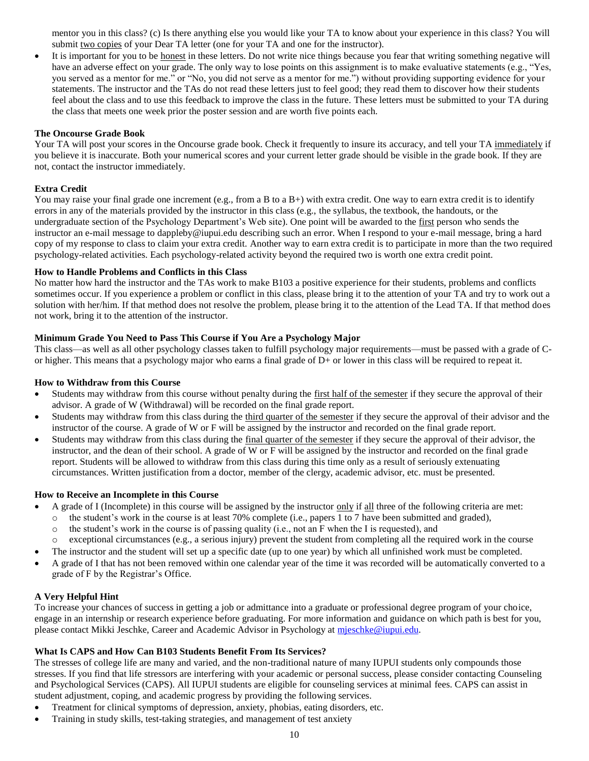mentor you in this class? (c) Is there anything else you would like your TA to know about your experience in this class? You will submit two copies of your Dear TA letter (one for your TA and one for the instructor).

 It is important for you to be honest in these letters. Do not write nice things because you fear that writing something negative will have an adverse effect on your grade. The only way to lose points on this assignment is to make evaluative statements (e.g., "Yes, you served as a mentor for me." or "No, you did not serve as a mentor for me.") without providing supporting evidence for your statements. The instructor and the TAs do not read these letters just to feel good; they read them to discover how their students feel about the class and to use this feedback to improve the class in the future. These letters must be submitted to your TA during the class that meets one week prior the poster session and are worth five points each.

#### **The Oncourse Grade Book**

Your TA will post your scores in the Oncourse grade book. Check it frequently to insure its accuracy, and tell your TA immediately if you believe it is inaccurate. Both your numerical scores and your current letter grade should be visible in the grade book. If they are not, contact the instructor immediately.

#### **Extra Credit**

You may raise your final grade one increment (e.g., from a B to a B+) with extra credit. One way to earn extra credit is to identify errors in any of the materials provided by the instructor in this class (e.g., the syllabus, the textbook, the handouts, or the undergraduate section of the Psychology Department's Web site). One point will be awarded to the first person who sends the instructor an e-mail message to [dappleby@iupui.edu](mailto:dappleby@iupui.edu) describing such an error. When I respond to your e-mail message, bring a hard copy of my response to class to claim your extra credit. Another way to earn extra credit is to participate in more than the two required psychology-related activities. Each psychology-related activity beyond the required two is worth one extra credit point.

#### **How to Handle Problems and Conflicts in this Class**

No matter how hard the instructor and the TAs work to make B103 a positive experience for their students, problems and conflicts sometimes occur. If you experience a problem or conflict in this class, please bring it to the attention of your TA and try to work out a solution with her/him. If that method does not resolve the problem, please bring it to the attention of the Lead TA. If that method does not work, bring it to the attention of the instructor.

#### **Minimum Grade You Need to Pass This Course if You Are a Psychology Major**

This class—as well as all other psychology classes taken to fulfill psychology major requirements—must be passed with a grade of Cor higher. This means that a psychology major who earns a final grade of D+ or lower in this class will be required to repeat it.

#### **How to Withdraw from this Course**

- Students may withdraw from this course without penalty during the first half of the semester if they secure the approval of their advisor. A grade of W (Withdrawal) will be recorded on the final grade report.
- Students may withdraw from this class during the third quarter of the semester if they secure the approval of their advisor and the instructor of the course. A grade of W or F will be assigned by the instructor and recorded on the final grade report.
- Students may withdraw from this class during the final quarter of the semester if they secure the approval of their advisor, the instructor, and the dean of their school. A grade of W or F will be assigned by the instructor and recorded on the final grade report. Students will be allowed to withdraw from this class during this time only as a result of seriously extenuating circumstances. Written justification from a doctor, member of the clergy, academic advisor, etc. must be presented.

#### **How to Receive an Incomplete in this Course**

- A grade of I (Incomplete) in this course will be assigned by the instructor only if all three of the following criteria are met:
	- $\circ$  the student's work in the course is at least 70% complete (i.e., papers 1 to 7 have been submitted and graded),
	- $\circ$  the student's work in the course is of passing quality (i.e., not an F when the I is requested), and
	- exceptional circumstances (e.g., a serious injury) prevent the student from completing all the required work in the course
- The instructor and the student will set up a specific date (up to one year) by which all unfinished work must be completed.
- A grade of I that has not been removed within one calendar year of the time it was recorded will be automatically converted to a grade of F by the Registrar's Office.

#### **A Very Helpful Hint**

To increase your chances of success in getting a job or admittance into a graduate or professional degree program of your choice, engage in an internship or research experience before graduating. For more information and guidance on which path is best for you, please contact Mikki Jeschke, Career and Academic Advisor in Psychology at mieschke@iupui.edu.

#### **What Is CAPS and How Can B103 Students Benefit From Its Services?**

The stresses of college life are many and varied, and the non-traditional nature of many IUPUI students only compounds those stresses. If you find that life stressors are interfering with your academic or personal success, please consider contacting Counseling and Psychological Services (CAPS). All IUPUI students are eligible for counseling services at minimal fees. CAPS can assist in student adjustment, coping, and academic progress by providing the following services.

- Treatment for clinical symptoms of depression, anxiety, phobias, eating disorders, etc.
- Training in study skills, test-taking strategies, and management of test anxiety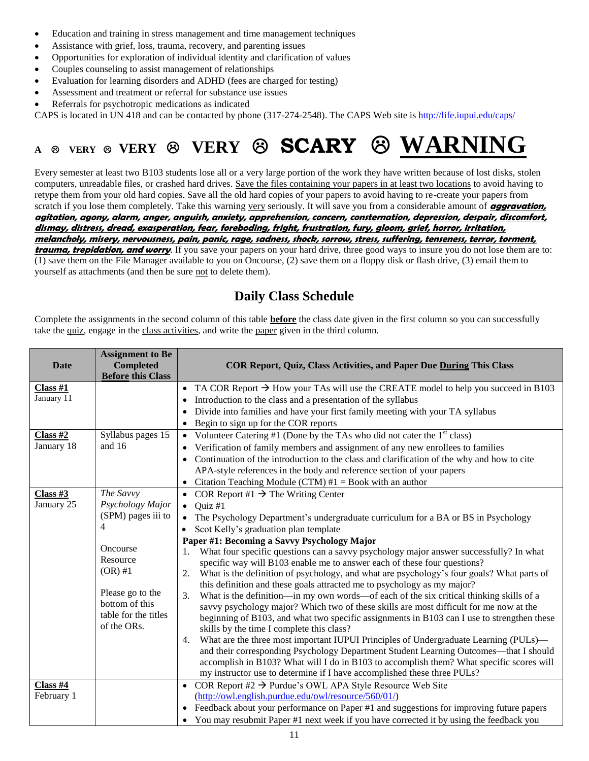- Education and training in stress management and time management techniques
- Assistance with grief, loss, trauma, recovery, and parenting issues
- Opportunities for exploration of individual identity and clarification of values
- Couples counseling to assist management of relationships
- Evaluation for learning disorders and ADHD (fees are charged for testing)
- Assessment and treatment or referral for substance use issues
- Referrals for psychotropic medications as indicated

CAPS is located in UN 418 and can be contacted by phone (317-274-2548). The CAPS Web site is [http://life.iupui.edu/caps/](https://www.exchange.iu.edu/owa/redir.aspx?C=84467a3bedc14e9db7118fd6a6036eef&URL=http%3a%2f%2flife.iupui.edu%2fcaps%2f)

# $\mathbf{A}$   $\circ$  very  $\circ$  very  $\circ$  very  $\circ$  **SCARY**  $\circ$  WARN

Every semester at least two B103 students lose all or a very large portion of the work they have written because of lost disks, stolen computers, unreadable files, or crashed hard drives. Save the files containing your papers in at least two locations to avoid having to retype them from your old hard copies. Save all the old hard copies of your papers to avoid having to re-create your papers from scratch if you lose them completely. Take this warning very seriously. It will save you from a considerable amount of **aggravation**, **agitation, agony, alarm, anger, anguish, anxiety, apprehension, concern, consternation, depression, despair, discomfort, dismay, distress, dread, exasperation, fear, foreboding, fright, frustration, fury, gloom, grief, horror, irritation, melancholy, misery, nervousness, pain, panic, rage, sadness, shock, sorrow, stress, suffering, tenseness, terror, torment,** 

**trauma, trepidation, and worry**. If you save your papers on your hard drive, three good ways to insure you do not lose them are to: (1) save them on the File Manager available to you on Oncourse, (2) save them on a floppy disk or flash drive, (3) email them to yourself as attachments (and then be sure not to delete them).

### **Daily Class Schedule**

Complete the assignments in the second column of this table **before** the class date given in the first column so you can successfully take the quiz, engage in the class activities, and write the paper given in the third column.

| Date                     | <b>Assignment to Be</b><br><b>Completed</b><br><b>Before this Class</b> | <b>COR Report, Quiz, Class Activities, and Paper Due During This Class</b>                                                                                                                                                                                                                                              |  |  |
|--------------------------|-------------------------------------------------------------------------|-------------------------------------------------------------------------------------------------------------------------------------------------------------------------------------------------------------------------------------------------------------------------------------------------------------------------|--|--|
| Class #1<br>January 11   |                                                                         | TA COR Report $\rightarrow$ How your TAs will use the CREATE model to help you succeed in B103<br>$\bullet$                                                                                                                                                                                                             |  |  |
|                          |                                                                         | Introduction to the class and a presentation of the syllabus                                                                                                                                                                                                                                                            |  |  |
|                          |                                                                         | Divide into families and have your first family meeting with your TA syllabus<br>$\bullet$                                                                                                                                                                                                                              |  |  |
|                          |                                                                         | Begin to sign up for the COR reports<br>$\bullet$                                                                                                                                                                                                                                                                       |  |  |
| $Class$ #2<br>January 18 | Syllabus pages 15<br>and 16                                             | • Volunteer Catering #1 (Done by the TAs who did not cater the $1st$ class)                                                                                                                                                                                                                                             |  |  |
|                          |                                                                         | Verification of family members and assignment of any new enrollees to families                                                                                                                                                                                                                                          |  |  |
|                          |                                                                         | Continuation of the introduction to the class and clarification of the why and how to cite<br>APA-style references in the body and reference section of your papers                                                                                                                                                     |  |  |
|                          |                                                                         | • Citation Teaching Module (CTM) $#1 = Book$ with an author                                                                                                                                                                                                                                                             |  |  |
| Class $#3$               | The Savvy                                                               | • COR Report #1 $\rightarrow$ The Writing Center                                                                                                                                                                                                                                                                        |  |  |
| January 25               | Psychology Major                                                        | $\bullet$ Quiz #1                                                                                                                                                                                                                                                                                                       |  |  |
|                          | (SPM) pages iii to                                                      | • The Psychology Department's undergraduate curriculum for a BA or BS in Psychology                                                                                                                                                                                                                                     |  |  |
|                          | 4                                                                       | Scot Kelly's graduation plan template<br>$\bullet$                                                                                                                                                                                                                                                                      |  |  |
|                          |                                                                         | Paper #1: Becoming a Savvy Psychology Major                                                                                                                                                                                                                                                                             |  |  |
|                          | Oncourse                                                                | What four specific questions can a savvy psychology major answer successfully? In what<br>1.                                                                                                                                                                                                                            |  |  |
|                          | Resource                                                                | specific way will B103 enable me to answer each of these four questions?                                                                                                                                                                                                                                                |  |  |
|                          | $(OR)$ #1                                                               | What is the definition of psychology, and what are psychology's four goals? What parts of<br>2.                                                                                                                                                                                                                         |  |  |
|                          |                                                                         | this definition and these goals attracted me to psychology as my major?                                                                                                                                                                                                                                                 |  |  |
|                          | Please go to the                                                        | 3.<br>What is the definition—in my own words—of each of the six critical thinking skills of a                                                                                                                                                                                                                           |  |  |
|                          | bottom of this                                                          | savvy psychology major? Which two of these skills are most difficult for me now at the                                                                                                                                                                                                                                  |  |  |
|                          | table for the titles                                                    | beginning of B103, and what two specific assignments in B103 can I use to strengthen these                                                                                                                                                                                                                              |  |  |
|                          | of the ORs.                                                             | skills by the time I complete this class?                                                                                                                                                                                                                                                                               |  |  |
|                          |                                                                         | What are the three most important IUPUI Principles of Undergraduate Learning (PULs)—<br>4.                                                                                                                                                                                                                              |  |  |
|                          |                                                                         | and their corresponding Psychology Department Student Learning Outcomes—that I should                                                                                                                                                                                                                                   |  |  |
|                          |                                                                         | accomplish in B103? What will I do in B103 to accomplish them? What specific scores will                                                                                                                                                                                                                                |  |  |
|                          |                                                                         | my instructor use to determine if I have accomplished these three PULs?                                                                                                                                                                                                                                                 |  |  |
|                          |                                                                         |                                                                                                                                                                                                                                                                                                                         |  |  |
|                          |                                                                         |                                                                                                                                                                                                                                                                                                                         |  |  |
|                          |                                                                         |                                                                                                                                                                                                                                                                                                                         |  |  |
| $Class$ #4<br>February 1 |                                                                         | • COR Report #2 $\rightarrow$ Purdue's OWL APA Style Resource Web Site<br>(http://owl.english.purdue.edu/owl/resource/560/01/)<br>• Feedback about your performance on Paper #1 and suggestions for improving future papers<br>• You may resubmit Paper #1 next week if you have corrected it by using the feedback you |  |  |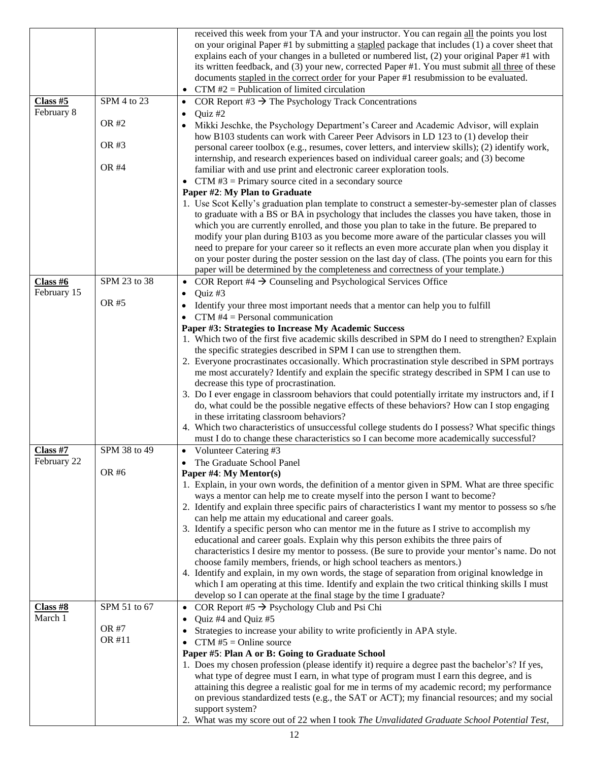|                         |              | received this week from your TA and your instructor. You can regain all the points you lost                                                                                                        |  |  |
|-------------------------|--------------|----------------------------------------------------------------------------------------------------------------------------------------------------------------------------------------------------|--|--|
|                         |              | on your original Paper #1 by submitting a stapled package that includes (1) a cover sheet that                                                                                                     |  |  |
|                         |              | explains each of your changes in a bulleted or numbered list, $(2)$ your original Paper #1 with                                                                                                    |  |  |
|                         |              | its written feedback, and (3) your new, corrected Paper #1. You must submit all three of these                                                                                                     |  |  |
|                         |              | documents stapled in the correct order for your Paper #1 resubmission to be evaluated.<br>• CTM $#2$ = Publication of limited circulation                                                          |  |  |
| Class $#5$              | SPM 4 to 23  | COR Report #3 $\rightarrow$ The Psychology Track Concentrations<br>$\bullet$                                                                                                                       |  |  |
| February 8              |              | Quiz #2<br>$\bullet$                                                                                                                                                                               |  |  |
|                         | OR #2        | Mikki Jeschke, the Psychology Department's Career and Academic Advisor, will explain                                                                                                               |  |  |
|                         |              | how B103 students can work with Career Peer Advisors in LD 123 to (1) develop their                                                                                                                |  |  |
|                         | OR #3        | personal career toolbox (e.g., resumes, cover letters, and interview skills); (2) identify work,                                                                                                   |  |  |
|                         |              | internship, and research experiences based on individual career goals; and (3) become                                                                                                              |  |  |
|                         | OR #4        | familiar with and use print and electronic career exploration tools.                                                                                                                               |  |  |
|                         |              | • CTM $#3$ = Primary source cited in a secondary source<br>Paper #2: My Plan to Graduate                                                                                                           |  |  |
|                         |              | 1. Use Scot Kelly's graduation plan template to construct a semester-by-semester plan of classes                                                                                                   |  |  |
|                         |              | to graduate with a BS or BA in psychology that includes the classes you have taken, those in                                                                                                       |  |  |
|                         |              | which you are currently enrolled, and those you plan to take in the future. Be prepared to                                                                                                         |  |  |
|                         |              | modify your plan during B103 as you become more aware of the particular classes you will                                                                                                           |  |  |
|                         |              | need to prepare for your career so it reflects an even more accurate plan when you display it                                                                                                      |  |  |
|                         |              | on your poster during the poster session on the last day of class. (The points you earn for this                                                                                                   |  |  |
|                         | SPM 23 to 38 | paper will be determined by the completeness and correctness of your template.)                                                                                                                    |  |  |
| Class #6<br>February 15 |              | COR Report #4 $\rightarrow$ Counseling and Psychological Services Office<br>$\bullet$<br>Quiz #3                                                                                                   |  |  |
|                         | OR #5        | $\bullet$<br>Identify your three most important needs that a mentor can help you to fulfill                                                                                                        |  |  |
|                         |              | $CTM$ #4 = Personal communication                                                                                                                                                                  |  |  |
|                         |              | Paper #3: Strategies to Increase My Academic Success                                                                                                                                               |  |  |
|                         |              | 1. Which two of the first five academic skills described in SPM do I need to strengthen? Explain                                                                                                   |  |  |
|                         |              | the specific strategies described in SPM I can use to strengthen them.                                                                                                                             |  |  |
|                         |              | 2. Everyone procrastinates occasionally. Which procrastination style described in SPM portrays                                                                                                     |  |  |
|                         |              | me most accurately? Identify and explain the specific strategy described in SPM I can use to                                                                                                       |  |  |
|                         |              | decrease this type of procrastination.                                                                                                                                                             |  |  |
|                         |              | 3. Do I ever engage in classroom behaviors that could potentially irritate my instructors and, if I<br>do, what could be the possible negative effects of these behaviors? How can I stop engaging |  |  |
|                         |              | in these irritating classroom behaviors?                                                                                                                                                           |  |  |
|                         |              | 4. Which two characteristics of unsuccessful college students do I possess? What specific things                                                                                                   |  |  |
|                         |              | must I do to change these characteristics so I can become more academically successful?                                                                                                            |  |  |
| Class H7                | SPM 38 to 49 | • Volunteer Catering #3                                                                                                                                                                            |  |  |
| February 22             |              | The Graduate School Panel                                                                                                                                                                          |  |  |
|                         | OR #6        | Paper #4: My Mentor(s)                                                                                                                                                                             |  |  |
|                         |              | 1. Explain, in your own words, the definition of a mentor given in SPM. What are three specific<br>ways a mentor can help me to create myself into the person I want to become?                    |  |  |
|                         |              | 2. Identify and explain three specific pairs of characteristics I want my mentor to possess so s/he                                                                                                |  |  |
|                         |              | can help me attain my educational and career goals.                                                                                                                                                |  |  |
|                         |              | 3. Identify a specific person who can mentor me in the future as I strive to accomplish my                                                                                                         |  |  |
|                         |              | educational and career goals. Explain why this person exhibits the three pairs of                                                                                                                  |  |  |
|                         |              | characteristics I desire my mentor to possess. (Be sure to provide your mentor's name. Do not                                                                                                      |  |  |
|                         |              | choose family members, friends, or high school teachers as mentors.)                                                                                                                               |  |  |
|                         |              | 4. Identify and explain, in my own words, the stage of separation from original knowledge in<br>which I am operating at this time. Identify and explain the two critical thinking skills I must    |  |  |
|                         |              | develop so I can operate at the final stage by the time I graduate?                                                                                                                                |  |  |
| $Class$ #8              | SPM 51 to 67 | • COR Report #5 $\rightarrow$ Psychology Club and Psi Chi                                                                                                                                          |  |  |
| March 1                 |              | Quiz #4 and Quiz #5<br>$\bullet$                                                                                                                                                                   |  |  |
|                         | OR #7        | Strategies to increase your ability to write proficiently in APA style.                                                                                                                            |  |  |
|                         | OR #11       | • CTM $#5 =$ Online source                                                                                                                                                                         |  |  |
|                         |              | Paper #5: Plan A or B: Going to Graduate School                                                                                                                                                    |  |  |
|                         |              | 1. Does my chosen profession (please identify it) require a degree past the bachelor's? If yes,                                                                                                    |  |  |
|                         |              | what type of degree must I earn, in what type of program must I earn this degree, and is                                                                                                           |  |  |
|                         |              | attaining this degree a realistic goal for me in terms of my academic record; my performance<br>on previous standardized tests (e.g., the SAT or ACT); my financial resources; and my social       |  |  |
|                         |              | support system?                                                                                                                                                                                    |  |  |
|                         |              | 2. What was my score out of 22 when I took The Unvalidated Graduate School Potential Test,                                                                                                         |  |  |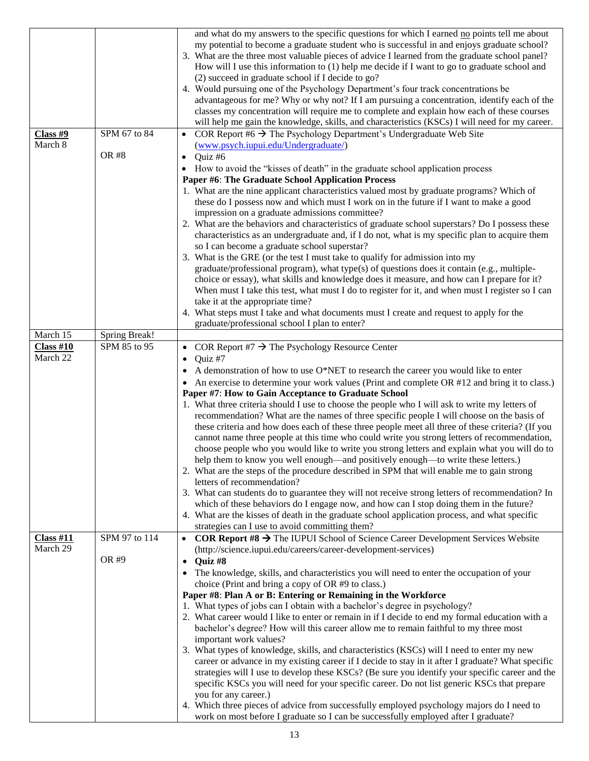|           |               | and what do my answers to the specific questions for which I earned no points tell me about<br>my potential to become a graduate student who is successful in and enjoys graduate school?<br>3. What are the three most valuable pieces of advice I learned from the graduate school panel?<br>How will I use this information to (1) help me decide if I want to go to graduate school and<br>(2) succeed in graduate school if I decide to go?<br>4. Would pursuing one of the Psychology Department's four track concentrations be |
|-----------|---------------|---------------------------------------------------------------------------------------------------------------------------------------------------------------------------------------------------------------------------------------------------------------------------------------------------------------------------------------------------------------------------------------------------------------------------------------------------------------------------------------------------------------------------------------|
|           |               | advantageous for me? Why or why not? If I am pursuing a concentration, identify each of the<br>classes my concentration will require me to complete and explain how each of these courses                                                                                                                                                                                                                                                                                                                                             |
| Class H9  | SPM 67 to 84  | will help me gain the knowledge, skills, and characteristics (KSCs) I will need for my career.<br>COR Report #6 $\rightarrow$ The Psychology Department's Undergraduate Web Site<br>$\bullet$                                                                                                                                                                                                                                                                                                                                         |
| March 8   | OR #8         | (www.psych.iupui.edu/Undergraduate/)<br>Quiz #6<br>$\bullet$                                                                                                                                                                                                                                                                                                                                                                                                                                                                          |
|           |               | How to avoid the "kisses of death" in the graduate school application process<br>$\bullet$                                                                                                                                                                                                                                                                                                                                                                                                                                            |
|           |               | Paper #6: The Graduate School Application Process                                                                                                                                                                                                                                                                                                                                                                                                                                                                                     |
|           |               | 1. What are the nine applicant characteristics valued most by graduate programs? Which of<br>these do I possess now and which must I work on in the future if I want to make a good                                                                                                                                                                                                                                                                                                                                                   |
|           |               | impression on a graduate admissions committee?<br>2. What are the behaviors and characteristics of graduate school superstars? Do I possess these<br>characteristics as an undergraduate and, if I do not, what is my specific plan to acquire them                                                                                                                                                                                                                                                                                   |
|           |               | so I can become a graduate school superstar?<br>3. What is the GRE (or the test I must take to qualify for admission into my                                                                                                                                                                                                                                                                                                                                                                                                          |
|           |               | graduate/professional program), what type(s) of questions does it contain (e.g., multiple-                                                                                                                                                                                                                                                                                                                                                                                                                                            |
|           |               | choice or essay), what skills and knowledge does it measure, and how can I prepare for it?<br>When must I take this test, what must I do to register for it, and when must I register so I can                                                                                                                                                                                                                                                                                                                                        |
|           |               | take it at the appropriate time?                                                                                                                                                                                                                                                                                                                                                                                                                                                                                                      |
|           |               | 4. What steps must I take and what documents must I create and request to apply for the<br>graduate/professional school I plan to enter?                                                                                                                                                                                                                                                                                                                                                                                              |
| March 15  | Spring Break! |                                                                                                                                                                                                                                                                                                                                                                                                                                                                                                                                       |
| Class H10 | SPM 85 to 95  | COR Report #7 $\rightarrow$ The Psychology Resource Center                                                                                                                                                                                                                                                                                                                                                                                                                                                                            |
| March 22  |               | Quiz #7<br>$\bullet$<br>A demonstration of how to use O*NET to research the career you would like to enter                                                                                                                                                                                                                                                                                                                                                                                                                            |
|           |               | An exercise to determine your work values (Print and complete OR $#12$ and bring it to class.)<br>$\bullet$                                                                                                                                                                                                                                                                                                                                                                                                                           |
|           |               | Paper #7: How to Gain Acceptance to Graduate School                                                                                                                                                                                                                                                                                                                                                                                                                                                                                   |
|           |               | 1. What three criteria should I use to choose the people who I will ask to write my letters of                                                                                                                                                                                                                                                                                                                                                                                                                                        |
|           |               | recommendation? What are the names of three specific people I will choose on the basis of<br>these criteria and how does each of these three people meet all three of these criteria? (If you                                                                                                                                                                                                                                                                                                                                         |
|           |               | cannot name three people at this time who could write you strong letters of recommendation,                                                                                                                                                                                                                                                                                                                                                                                                                                           |
|           |               | choose people who you would like to write you strong letters and explain what you will do to                                                                                                                                                                                                                                                                                                                                                                                                                                          |
|           |               | help them to know you well enough—and positively enough—to write these letters.)<br>2. What are the steps of the procedure described in SPM that will enable me to gain strong                                                                                                                                                                                                                                                                                                                                                        |
|           |               | letters of recommendation?                                                                                                                                                                                                                                                                                                                                                                                                                                                                                                            |
|           |               | 3. What can students do to guarantee they will not receive strong letters of recommendation? In                                                                                                                                                                                                                                                                                                                                                                                                                                       |
|           |               | which of these behaviors do I engage now, and how can I stop doing them in the future?<br>4. What are the kisses of death in the graduate school application process, and what specific                                                                                                                                                                                                                                                                                                                                               |
|           |               | strategies can I use to avoid committing them?                                                                                                                                                                                                                                                                                                                                                                                                                                                                                        |
| Class H11 | SPM 97 to 114 | <b>COR Report <math>\#8 \rightarrow</math></b> The IUPUI School of Science Career Development Services Website<br>$\bullet$                                                                                                                                                                                                                                                                                                                                                                                                           |
| March 29  | OR #9         | (http://science.iupui.edu/careers/career-development-services)                                                                                                                                                                                                                                                                                                                                                                                                                                                                        |
|           |               | Quiz #8<br>$\bullet$<br>The knowledge, skills, and characteristics you will need to enter the occupation of your                                                                                                                                                                                                                                                                                                                                                                                                                      |
|           |               | choice (Print and bring a copy of OR #9 to class.)                                                                                                                                                                                                                                                                                                                                                                                                                                                                                    |
|           |               | Paper #8: Plan A or B: Entering or Remaining in the Workforce                                                                                                                                                                                                                                                                                                                                                                                                                                                                         |
|           |               | 1. What types of jobs can I obtain with a bachelor's degree in psychology?<br>2. What career would I like to enter or remain in if I decide to end my formal education with a                                                                                                                                                                                                                                                                                                                                                         |
|           |               | bachelor's degree? How will this career allow me to remain faithful to my three most                                                                                                                                                                                                                                                                                                                                                                                                                                                  |
|           |               | important work values?                                                                                                                                                                                                                                                                                                                                                                                                                                                                                                                |
|           |               | 3. What types of knowledge, skills, and characteristics (KSCs) will I need to enter my new                                                                                                                                                                                                                                                                                                                                                                                                                                            |
|           |               | career or advance in my existing career if I decide to stay in it after I graduate? What specific<br>strategies will I use to develop these KSCs? (Be sure you identify your specific career and the                                                                                                                                                                                                                                                                                                                                  |
|           |               | specific KSCs you will need for your specific career. Do not list generic KSCs that prepare                                                                                                                                                                                                                                                                                                                                                                                                                                           |
|           |               | you for any career.)<br>4. Which three pieces of advice from successfully employed psychology majors do I need to                                                                                                                                                                                                                                                                                                                                                                                                                     |
|           |               | work on most before I graduate so I can be successfully employed after I graduate?                                                                                                                                                                                                                                                                                                                                                                                                                                                    |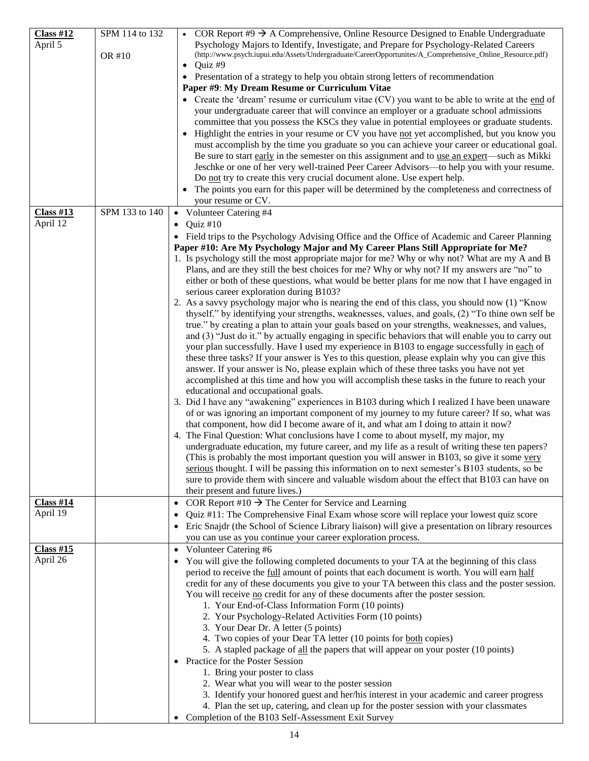| Class H12   | SPM 114 to 132 | • COR Report #9 $\rightarrow$ A Comprehensive, Online Resource Designed to Enable Undergraduate          |
|-------------|----------------|----------------------------------------------------------------------------------------------------------|
|             |                |                                                                                                          |
| April 5     |                | Psychology Majors to Identify, Investigate, and Prepare for Psychology-Related Careers                   |
|             | OR #10         | (http://www.psych.iupui.edu/Assets/Undergraduate/CareerOpportunites/A_Comprehensive_Online_Resource.pdf) |
|             |                | • Quiz #9                                                                                                |
|             |                | • Presentation of a strategy to help you obtain strong letters of recommendation                         |
|             |                | Paper #9: My Dream Resume or Curriculum Vitae                                                            |
|             |                | • Create the 'dream' resume or curriculum vitae (CV) you want to be able to write at the end of          |
|             |                |                                                                                                          |
|             |                | your undergraduate career that will convince an employer or a graduate school admissions                 |
|             |                | committee that you possess the KSCs they value in potential employees or graduate students.              |
|             |                | • Highlight the entries in your resume or CV you have not yet accomplished, but you know you             |
|             |                | must accomplish by the time you graduate so you can achieve your career or educational goal.             |
|             |                | Be sure to start early in the semester on this assignment and to use an expert—such as Mikki             |
|             |                | Jeschke or one of her very well-trained Peer Career Advisors—to help you with your resume.               |
|             |                | Do not try to create this very crucial document alone. Use expert help.                                  |
|             |                |                                                                                                          |
|             |                | • The points you earn for this paper will be determined by the completeness and correctness of           |
|             |                | your resume or CV.                                                                                       |
| Class $#13$ | SPM 133 to 140 | • Volunteer Catering #4                                                                                  |
| April 12    |                | Quiz $\#10$<br>$\bullet$                                                                                 |
|             |                | Field trips to the Psychology Advising Office and the Office of Academic and Career Planning             |
|             |                |                                                                                                          |
|             |                | Paper #10: Are My Psychology Major and My Career Plans Still Appropriate for Me?                         |
|             |                | 1. Is psychology still the most appropriate major for me? Why or why not? What are my A and B            |
|             |                | Plans, and are they still the best choices for me? Why or why not? If my answers are "no" to             |
|             |                | either or both of these questions, what would be better plans for me now that I have engaged in          |
|             |                | serious career exploration during B103?                                                                  |
|             |                | 2. As a savvy psychology major who is nearing the end of this class, you should now (1) "Know            |
|             |                | thyself." by identifying your strengths, weaknesses, values, and goals, (2) "To thine own self be        |
|             |                | true." by creating a plan to attain your goals based on your strengths, weaknesses, and values,          |
|             |                |                                                                                                          |
|             |                | and (3) "Just do it." by actually engaging in specific behaviors that will enable you to carry out       |
|             |                | your plan successfully. Have I used my experience in B103 to engage successfully in each of              |
|             |                | these three tasks? If your answer is Yes to this question, please explain why you can give this          |
|             |                | answer. If your answer is No, please explain which of these three tasks you have not yet                 |
|             |                | accomplished at this time and how you will accomplish these tasks in the future to reach your            |
|             |                | educational and occupational goals.                                                                      |
|             |                | 3. Did I have any "awakening" experiences in B103 during which I realized I have been unaware            |
|             |                | of or was ignoring an important component of my journey to my future career? If so, what was             |
|             |                | that component, how did I become aware of it, and what am I doing to attain it now?                      |
|             |                |                                                                                                          |
|             |                | 4. The Final Question: What conclusions have I come to about myself, my major, my                        |
|             |                | undergraduate education, my future career, and my life as a result of writing these ten papers?          |
|             |                | (This is probably the most important question you will answer in B103, so give it some very              |
|             |                | serious thought. I will be passing this information on to next semester's B103 students, so be           |
|             |                | sure to provide them with sincere and valuable wisdom about the effect that B103 can have on             |
|             |                | their present and future lives.)                                                                         |
| Class H14   |                | COR Report #10 $\rightarrow$ The Center for Service and Learning                                         |
|             |                | $\bullet$                                                                                                |
| April 19    |                | Quiz #11: The Comprehensive Final Exam whose score will replace your lowest quiz score<br>٠              |
|             |                | Eric Snajdr (the School of Science Library liaison) will give a presentation on library resources        |
|             |                | you can use as you continue your career exploration process.                                             |
| Class H15   |                | Volunteer Catering #6<br>$\bullet$                                                                       |
| April 26    |                | You will give the following completed documents to your TA at the beginning of this class                |
|             |                |                                                                                                          |
|             |                | period to receive the full amount of points that each document is worth. You will earn half              |
|             |                | credit for any of these documents you give to your TA between this class and the poster session.         |
|             |                | You will receive no credit for any of these documents after the poster session.                          |
|             |                | 1. Your End-of-Class Information Form (10 points)                                                        |
|             |                | 2. Your Psychology-Related Activities Form (10 points)                                                   |
|             |                | 3. Your Dear Dr. A letter (5 points)                                                                     |
|             |                |                                                                                                          |
|             |                | 4. Two copies of your Dear TA letter (10 points for both copies)                                         |
|             |                | 5. A stapled package of all the papers that will appear on your poster (10 points)                       |
|             |                | Practice for the Poster Session<br>$\bullet$                                                             |
|             |                | 1. Bring your poster to class                                                                            |
|             |                | 2. Wear what you will wear to the poster session                                                         |
|             |                | 3. Identify your honored guest and her/his interest in your academic and career progress                 |
|             |                | 4. Plan the set up, catering, and clean up for the poster session with your classmates                   |
|             |                |                                                                                                          |
|             |                | Completion of the B103 Self-Assessment Exit Survey                                                       |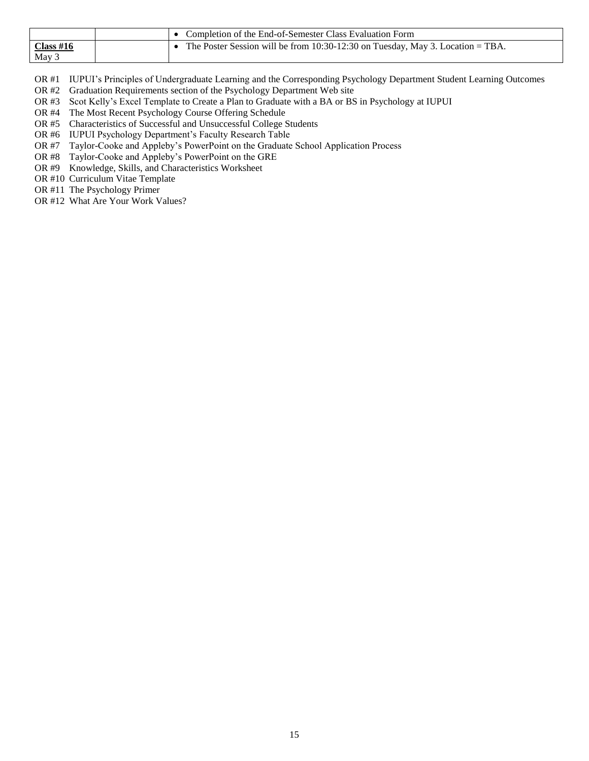|           | Completion of the End-of-Semester Class Evaluation Form                          |
|-----------|----------------------------------------------------------------------------------|
| Class #16 | • The Poster Session will be from 10:30-12:30 on Tuesday, May 3. Location = TBA. |
| May 3     |                                                                                  |

- OR #1 IUPUI's Principles of Undergraduate Learning and the Corresponding Psychology Department Student Learning Outcomes
- OR #2 Graduation Requirements section of the Psychology Department Web site
- OR #3 Scot Kelly's Excel Template to Create a Plan to Graduate with a BA or BS in Psychology at IUPUI
- OR #4 The Most Recent Psychology Course Offering Schedule
- OR #5 Characteristics of Successful and Unsuccessful College Students
- OR #6 IUPUI Psychology Department's Faculty Research Table
- OR #7 Taylor-Cooke and Appleby's PowerPoint on the Graduate School Application Process
- OR #8 Taylor-Cooke and Appleby's PowerPoint on the GRE
- OR #9 Knowledge, Skills, and Characteristics Worksheet
- OR #10 Curriculum Vitae Template
- OR #11 The Psychology Primer
- OR #12 What Are Your Work Values?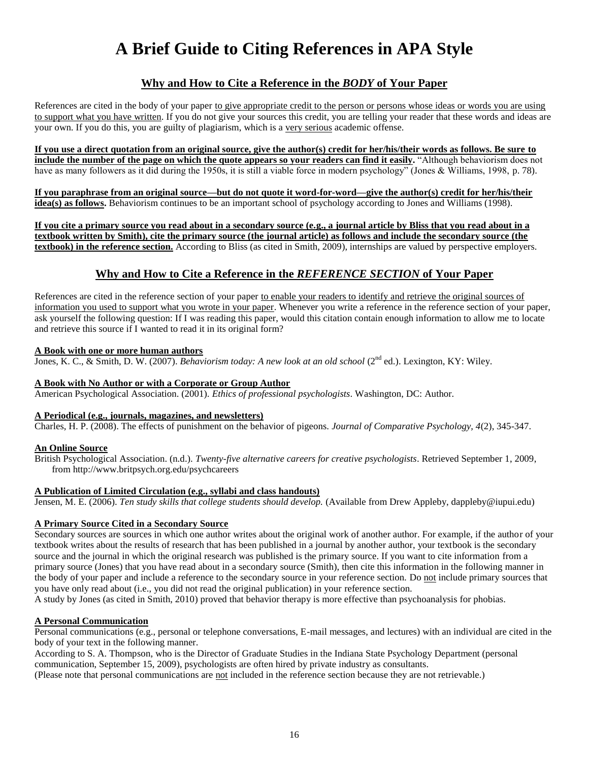## **A Brief Guide to Citing References in APA Style**

### **Why and How to Cite a Reference in the** *BODY* **of Your Paper**

References are cited in the body of your paper to give appropriate credit to the person or persons whose ideas or words you are using to support what you have written. If you do not give your sources this credit, you are telling your reader that these words and ideas are your own. If you do this, you are guilty of plagiarism, which is a very serious academic offense.

**If you use a direct quotation from an original source, give the author(s) credit for her/his/their words as follows. Be sure to include the number of the page on which the quote appears so your readers can find it easily.** "Although behaviorism does not have as many followers as it did during the 1950s, it is still a viable force in modern psychology" (Jones & Williams, 1998, p. 78).

**If you paraphrase from an original source—but do not quote it word-for-word—give the author(s) credit for her/his/their idea(s) as follows.** Behaviorism continues to be an important school of psychology according to Jones and Williams (1998).

**If you cite a primary source you read about in a secondary source (e.g., a journal article by Bliss that you read about in a textbook written by Smith), cite the primary source (the journal article) as follows and include the secondary source (the textbook) in the reference section.** According to Bliss (as cited in Smith, 2009), internships are valued by perspective employers.

### **Why and How to Cite a Reference in the** *REFERENCE SECTION* **of Your Paper**

References are cited in the reference section of your paper to enable your readers to identify and retrieve the original sources of information you used to support what you wrote in your paper. Whenever you write a reference in the reference section of your paper, ask yourself the following question: If I was reading this paper, would this citation contain enough information to allow me to locate and retrieve this source if I wanted to read it in its original form?

#### **A Book with one or more human authors**

Jones, K. C., & Smith, D. W. (2007). *Behaviorism today: A new look at an old school* (2<sup>nd</sup> ed.). Lexington, KY: Wiley.

#### **A Book with No Author or with a Corporate or Group Author**

American Psychological Association. (2001). *Ethics of professional psychologists*. Washington, DC: Author.

#### **A Periodical (e.g., journals, magazines, and newsletters)**

Charles, H. P. (2008). The effects of punishment on the behavior of pigeons. *Journal of Comparative Psychology, 4*(2), 345-347.

#### **An Online Source**

British Psychological Association. (n.d.). *Twenty-five alternative careers for creative psychologists*. Retrieved September 1, 2009, from http://www.britpsych.org.edu/psychcareers

#### **A Publication of Limited Circulation (e.g., syllabi and class handouts)**

Jensen, M. E. (2006). *Ten study skills that college students should develop*. (Available from Drew Appleby, dappleby@iupui.edu)

#### **A Primary Source Cited in a Secondary Source**

Secondary sources are sources in which one author writes about the original work of another author. For example, if the author of your textbook writes about the results of research that has been published in a journal by another author, your textbook is the secondary source and the journal in which the original research was published is the primary source. If you want to cite information from a primary source (Jones) that you have read about in a secondary source (Smith), then cite this information in the following manner in the body of your paper and include a reference to the secondary source in your reference section. Do not include primary sources that you have only read about (i.e., you did not read the original publication) in your reference section.

A study by Jones (as cited in Smith, 2010) proved that behavior therapy is more effective than psychoanalysis for phobias.

#### **A Personal Communication**

Personal communications (e.g., personal or telephone conversations, E-mail messages, and lectures) with an individual are cited in the body of your text in the following manner.

According to S. A. Thompson, who is the Director of Graduate Studies in the Indiana State Psychology Department (personal communication, September 15, 2009), psychologists are often hired by private industry as consultants.

(Please note that personal communications are not included in the reference section because they are not retrievable.)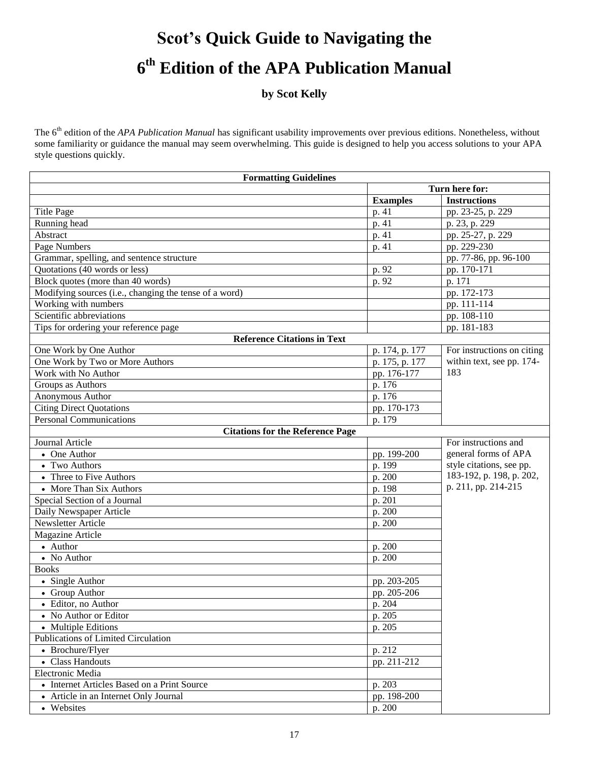# **Scot's Quick Guide to Navigating the 6 th Edition of the APA Publication Manual**

### **by Scot Kelly**

The 6<sup>th</sup> edition of the *APA Publication Manual* has significant usability improvements over previous editions. Nonetheless, without some familiarity or guidance the manual may seem overwhelming. This guide is designed to help you access solutions to your APA style questions quickly.

| <b>Formatting Guidelines</b>                           |                 |                            |
|--------------------------------------------------------|-----------------|----------------------------|
|                                                        |                 | Turn here for:             |
|                                                        | <b>Examples</b> | <b>Instructions</b>        |
| <b>Title Page</b>                                      | p. 41           | pp. 23-25, p. 229          |
| Running head                                           | p. 41           | p. 23, p. 229              |
| Abstract                                               | p. 41           | pp. 25-27, p. 229          |
| Page Numbers                                           | p. 41           | pp. 229-230                |
| Grammar, spelling, and sentence structure              |                 | pp. 77-86, pp. 96-100      |
| Quotations (40 words or less)                          | p. 92           | pp. 170-171                |
| Block quotes (more than 40 words)                      | p. 92           | p. 171                     |
| Modifying sources (i.e., changing the tense of a word) |                 | pp. 172-173                |
| Working with numbers                                   |                 | pp. 111-114                |
| Scientific abbreviations                               |                 | pp. 108-110                |
| Tips for ordering your reference page                  |                 | pp. 181-183                |
| <b>Reference Citations in Text</b>                     |                 |                            |
| One Work by One Author                                 | p. 174, p. 177  | For instructions on citing |
| One Work by Two or More Authors                        | p. 175, p. 177  | within text, see pp. 174-  |
| Work with No Author                                    | pp. 176-177     | 183                        |
| Groups as Authors                                      | p. 176          |                            |
| Anonymous Author                                       | p. 176          |                            |
| <b>Citing Direct Quotations</b>                        | pp. 170-173     |                            |
| <b>Personal Communications</b>                         | p. 179          |                            |
| <b>Citations for the Reference Page</b>                |                 |                            |
| Journal Article                                        |                 | For instructions and       |
| • One Author                                           | pp. 199-200     | general forms of APA       |
| • Two Authors                                          | p. 199          | style citations, see pp.   |
| • Three to Five Authors                                | p. 200          | 183-192, p. 198, p. 202,   |
| • More Than Six Authors                                | p. 198          | p. 211, pp. 214-215        |
| Special Section of a Journal                           | p. 201          |                            |
| Daily Newspaper Article                                | p. 200          |                            |
| Newsletter Article                                     | p. 200          |                            |
| Magazine Article                                       |                 |                            |
| • Author                                               | p. 200          |                            |
| • No Author                                            | p. 200          |                            |
| <b>Books</b>                                           |                 |                            |
| • Single Author                                        | pp. 203-205     |                            |
| • Group Author                                         | pp. 205-206     |                            |
| • Editor, no Author                                    | p. 204          |                            |
| • No Author or Editor                                  | p. 205          |                            |
| • Multiple Editions                                    | p. 205          |                            |
| Publications of Limited Circulation                    |                 |                            |
| • Brochure/Flyer                                       | p. 212          |                            |
| • Class Handouts                                       | pp. 211-212     |                            |
| Electronic Media                                       |                 |                            |
| • Internet Articles Based on a Print Source            | p. 203          |                            |
| • Article in an Internet Only Journal                  | pp. 198-200     |                            |
| • Websites                                             | p. 200          |                            |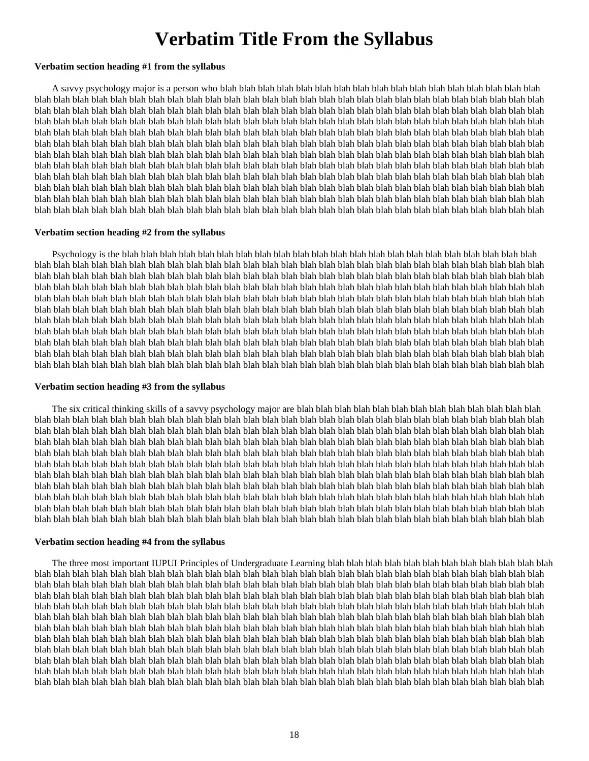## **Verbatim Title From the Syllabus**

#### **Verbatim section heading #1 from the syllabus**

A savvy psychology major is a person who blah blah blah blah blah blah blah blah blah blah blah blah blah blah blah blah blah blah blah blah blah blah blah blah blah blah blah blah blah blah blah blah blah blah blah blah blah blah blah blah blah blah blah blah blah blah blah blah blah blah blah blah blah blah blah blah blah blah blah blah blah blah blah blah blah blah blah blah blah blah blah blah blah blah blah blah blah blah blah blah blah blah blah blah blah blah blah blah blah blah blah blah blah blah blah blah blah blah blah blah blah blah blah blah blah blah blah blah blah blah blah blah blah blah blah blah blah blah blah blah blah blah blah blah blah blah blah blah blah blah blah blah blah blah blah blah blah blah blah blah blah blah blah blah blah blah blah blah blah blah blah blah blah blah blah blah blah blah blah blah blah blah blah blah blah blah blah blah blah blah blah blah blah blah blah blah blah blah blah blah blah blah blah blah blah blah blah blah blah blah blah blah blah blah blah blah blah blah blah blah blah blah blah blah blah blah blah blah blah blah blah blah blah blah blah blah blah blah blah blah blah blah blah blah blah blah blah blah blah blah blah blah blah blah blah blah blah blah blah blah blah blah blah blah blah blah blah blah blah blah blah blah blah blah blah blah blah blah blah blah blah blah blah blah blah blah blah blah blah blah blah blah blah blah blah blah blah blah blah blah blah blah blah blah blah blah blah blah blah blah blah blah blah blah blah blah blah blah blah blah blah blah blah blah blah blah blah blah blah blah blah blah blah blah

#### **Verbatim section heading #2 from the syllabus**

Psychology is the blah blah blah blah blah blah blah blah blah blah blah blah blah blah blah blah blah blah blah blah blah blah blah blah blah blah blah blah blah blah blah blah blah blah blah blah blah blah blah blah blah blah blah blah blah blah blah blah blah blah blah blah blah blah blah blah blah blah blah blah blah blah blah blah blah blah blah blah blah blah blah blah blah blah blah blah blah blah blah blah blah blah blah blah blah blah blah blah blah blah blah blah blah blah blah blah blah blah blah blah blah blah blah blah blah blah blah blah blah blah blah blah blah blah blah blah blah blah blah blah blah blah blah blah blah blah blah blah blah blah blah blah blah blah blah blah blah blah blah blah blah blah blah blah blah blah blah blah blah blah blah blah blah blah blah blah blah blah blah blah blah blah blah blah blah blah blah blah blah blah blah blah blah blah blah blah blah blah blah blah blah blah blah blah blah blah blah blah blah blah blah blah blah blah blah blah blah blah blah blah blah blah blah blah blah blah blah blah blah blah blah blah blah blah blah blah blah blah blah blah blah blah blah blah blah blah blah blah blah blah blah blah blah blah blah blah blah blah blah blah blah blah blah blah blah blah blah blah blah blah blah blah blah blah blah blah blah blah blah blah blah blah blah blah blah blah blah blah blah blah blah blah blah blah blah blah blah blah blah blah blah blah blah blah blah blah blah blah blah blah blah blah

#### **Verbatim section heading #3 from the syllabus**

The six critical thinking skills of a savvy psychology major are blah blah blah blah blah blah blah blah blah blah blah blah blah blah blah blah blah blah blah blah blah blah blah blah blah blah blah blah blah blah blah blah blah blah blah blah blah blah blah blah blah blah blah blah blah blah blah blah blah blah blah blah blah blah blah blah blah blah blah blah blah blah blah blah blah blah blah blah blah blah blah blah blah blah blah blah blah blah blah blah blah blah blah blah blah blah blah blah blah blah blah blah blah blah blah blah blah blah blah blah blah blah blah blah blah blah blah blah blah blah blah blah blah blah blah blah blah blah blah blah blah blah blah blah blah blah blah blah blah blah blah blah blah blah blah blah blah blah blah blah blah blah blah blah blah blah blah blah blah blah blah blah blah blah blah blah blah blah blah blah blah blah blah blah blah blah blah blah blah blah blah blah blah blah blah blah blah blah blah blah blah blah blah blah blah blah blah blah blah blah blah blah blah blah blah blah blah blah blah blah blah blah blah blah blah blah blah blah blah blah blah blah blah blah blah blah blah blah blah blah blah blah blah blah blah blah blah blah blah blah blah blah blah blah blah blah blah blah blah blah blah blah blah blah blah blah blah blah blah blah blah blah blah blah blah blah blah blah blah blah blah blah blah blah blah blah blah blah blah blah blah blah blah blah blah blah blah blah blah blah blah blah blah

#### **Verbatim section heading #4 from the syllabus**

The three most important IUPUI Principles of Undergraduate Learning blah blah blah blah blah blah blah blah blah blah blah blah blah blah blah blah blah blah blah blah blah blah blah blah blah blah blah blah blah blah blah blah blah blah blah blah blah blah blah blah blah blah blah blah blah blah blah blah blah blah blah blah blah blah blah blah blah blah blah blah blah blah blah blah blah blah blah blah blah blah blah blah blah blah blah blah blah blah blah blah blah blah blah blah blah blah blah blah blah blah blah blah blah blah blah blah blah blah blah blah blah blah blah blah blah blah blah blah blah blah blah blah blah blah blah blah blah blah blah blah blah blah blah blah blah blah blah blah blah blah blah blah blah blah blah blah blah blah blah blah blah blah blah blah blah blah blah blah blah blah blah blah blah blah blah blah blah blah blah blah blah blah blah blah blah blah blah blah blah blah blah blah blah blah blah blah blah blah blah blah blah blah blah blah blah blah blah blah blah blah blah blah blah blah blah blah blah blah blah blah blah blah blah blah blah blah blah blah blah blah blah blah blah blah blah blah blah blah blah blah blah blah blah blah blah blah blah blah blah blah blah blah blah blah blah blah blah blah blah blah blah blah blah blah blah blah blah blah blah blah blah blah blah blah blah blah blah blah blah blah blah blah blah blah blah blah blah blah blah blah blah blah blah blah blah blah blah blah blah blah blah blah blah blah blah blah blah blah blah blah blah blah blah blah blah blah blah blah blah blah blah blah blah blah blah blah blah blah blah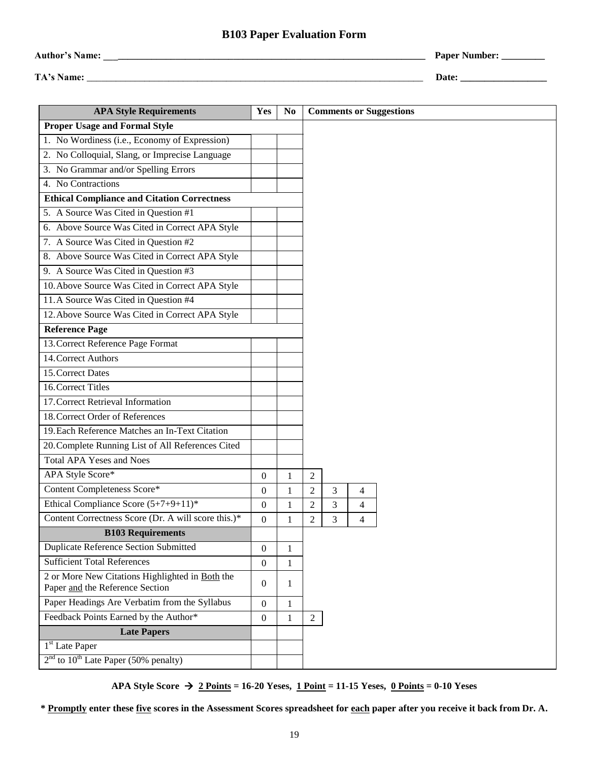### **B103 Paper Evaluation Form**

| <b>Author's Name:</b> | <b>Paper Number:</b> |
|-----------------------|----------------------|
| TA's<br><b>Name</b>   | Date:                |

| <b>APA Style Requirements</b>                                                      | Yes              | N <sub>0</sub> |                |   |   | <b>Comments or Suggestions</b> |  |  |
|------------------------------------------------------------------------------------|------------------|----------------|----------------|---|---|--------------------------------|--|--|
| <b>Proper Usage and Formal Style</b>                                               |                  |                |                |   |   |                                |  |  |
| 1. No Wordiness (i.e., Economy of Expression)                                      |                  |                |                |   |   |                                |  |  |
| 2. No Colloquial, Slang, or Imprecise Language                                     |                  |                |                |   |   |                                |  |  |
| 3. No Grammar and/or Spelling Errors                                               |                  |                |                |   |   |                                |  |  |
| 4. No Contractions                                                                 |                  |                |                |   |   |                                |  |  |
| <b>Ethical Compliance and Citation Correctness</b>                                 |                  |                |                |   |   |                                |  |  |
| 5. A Source Was Cited in Question #1                                               |                  |                |                |   |   |                                |  |  |
| 6. Above Source Was Cited in Correct APA Style                                     |                  |                |                |   |   |                                |  |  |
| 7. A Source Was Cited in Question #2                                               |                  |                |                |   |   |                                |  |  |
| 8. Above Source Was Cited in Correct APA Style                                     |                  |                |                |   |   |                                |  |  |
| 9. A Source Was Cited in Question #3                                               |                  |                |                |   |   |                                |  |  |
| 10. Above Source Was Cited in Correct APA Style                                    |                  |                |                |   |   |                                |  |  |
| 11.A Source Was Cited in Question #4                                               |                  |                |                |   |   |                                |  |  |
| 12. Above Source Was Cited in Correct APA Style                                    |                  |                |                |   |   |                                |  |  |
| <b>Reference Page</b>                                                              |                  |                |                |   |   |                                |  |  |
| 13. Correct Reference Page Format                                                  |                  |                |                |   |   |                                |  |  |
| 14. Correct Authors                                                                |                  |                |                |   |   |                                |  |  |
| 15. Correct Dates                                                                  |                  |                |                |   |   |                                |  |  |
| 16. Correct Titles                                                                 |                  |                |                |   |   |                                |  |  |
| 17. Correct Retrieval Information                                                  |                  |                |                |   |   |                                |  |  |
| 18. Correct Order of References                                                    |                  |                |                |   |   |                                |  |  |
| 19. Each Reference Matches an In-Text Citation                                     |                  |                |                |   |   |                                |  |  |
| 20. Complete Running List of All References Cited                                  |                  |                |                |   |   |                                |  |  |
| <b>Total APA Yeses and Noes</b>                                                    |                  |                |                |   |   |                                |  |  |
| APA Style Score*                                                                   | $\boldsymbol{0}$ | $\mathbf 1$    | $\overline{2}$ |   |   |                                |  |  |
| Content Completeness Score*                                                        | $\boldsymbol{0}$ | $\mathbf 1$    | 2              | 3 | 4 |                                |  |  |
| Ethical Compliance Score $(5+7+9+11)^*$                                            | $\boldsymbol{0}$ | $\mathbf 1$    | $\mathfrak{2}$ | 3 | 4 |                                |  |  |
| Content Correctness Score (Dr. A will score this.)*                                | $\boldsymbol{0}$ | $\mathbf{1}$   | $\overline{2}$ | 3 | 4 |                                |  |  |
| <b>B103 Requirements</b>                                                           |                  |                |                |   |   |                                |  |  |
| <b>Duplicate Reference Section Submitted</b>                                       | $\overline{0}$   | 1              |                |   |   |                                |  |  |
| <b>Sufficient Total References</b>                                                 | $\boldsymbol{0}$ | $\mathbf{1}$   |                |   |   |                                |  |  |
| 2 or More New Citations Highlighted in Both the<br>Paper and the Reference Section | $\boldsymbol{0}$ | 1              |                |   |   |                                |  |  |
| Paper Headings Are Verbatim from the Syllabus                                      | $\overline{0}$   | $\mathbf{1}$   |                |   |   |                                |  |  |
| Feedback Points Earned by the Author*                                              | $\boldsymbol{0}$ | $\mathbf{1}$   | $\overline{2}$ |   |   |                                |  |  |
| <b>Late Papers</b>                                                                 |                  |                |                |   |   |                                |  |  |
| 1 <sup>st</sup> Late Paper                                                         |                  |                |                |   |   |                                |  |  |
| $2nd$ to $10th$ Late Paper (50% penalty)                                           |                  |                |                |   |   |                                |  |  |

APA Style Score  $\rightarrow$  2 Points = 16-20 Yeses, 1 Point = 11-15 Yeses, 0 Points = 0-10 Yeses

**\* Promptly enter these five scores in the Assessment Scores spreadsheet for each paper after you receive it back from Dr. A.**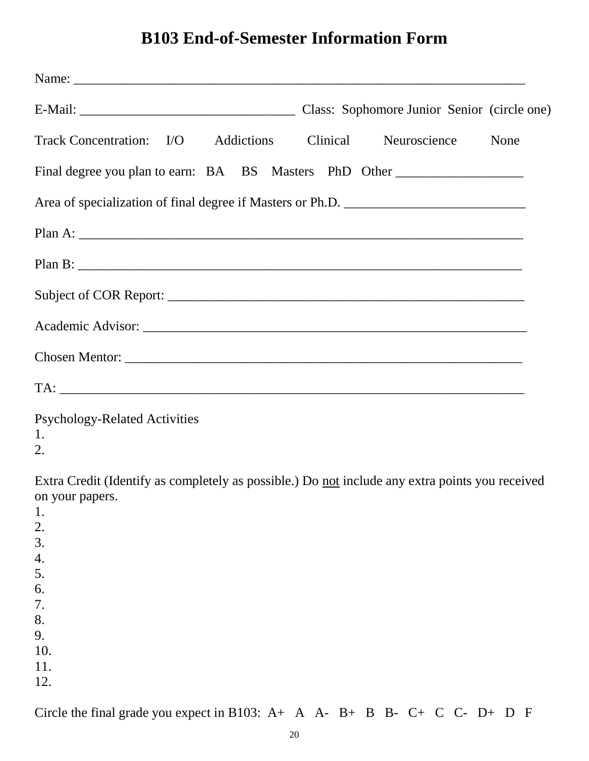## **B103 End-of-Semester Information Form**

| Track Concentration: I/O Addictions Clinical Neuroscience None                                                                                                     |  |
|--------------------------------------------------------------------------------------------------------------------------------------------------------------------|--|
| Final degree you plan to earn: BA BS Masters PhD Other                                                                                                             |  |
|                                                                                                                                                                    |  |
|                                                                                                                                                                    |  |
|                                                                                                                                                                    |  |
|                                                                                                                                                                    |  |
|                                                                                                                                                                    |  |
|                                                                                                                                                                    |  |
|                                                                                                                                                                    |  |
| <b>Psychology-Related Activities</b><br>1.<br>2.                                                                                                                   |  |
| Extra Credit (Identify as completely as possible.) Do not include any extra points you received<br>on your papers.<br>1.<br>2.<br>3.<br>4.<br>5.<br>6.<br>7.<br>8. |  |

- 9.
- 10.
- 11. 12.

Circle the final grade you expect in B103: A+ A A- B+ B B- C+ C C- D+ D F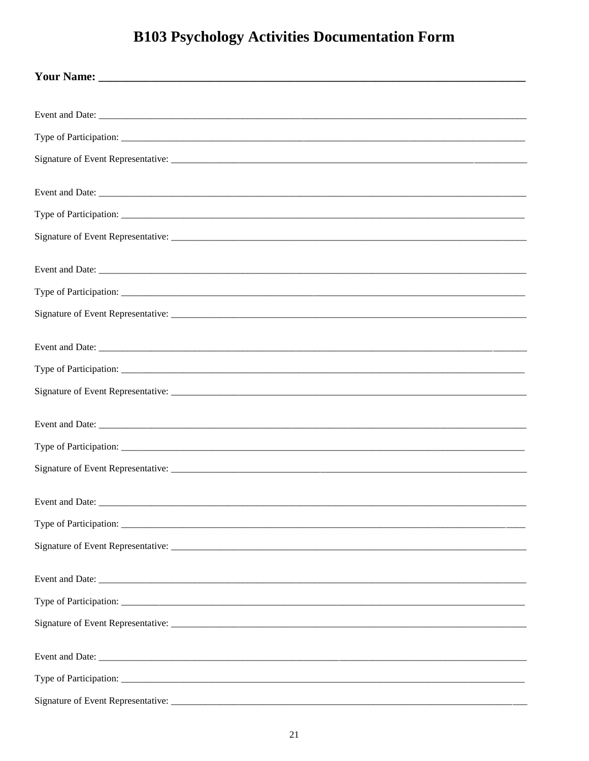# **B103 Psychology Activities Documentation Form**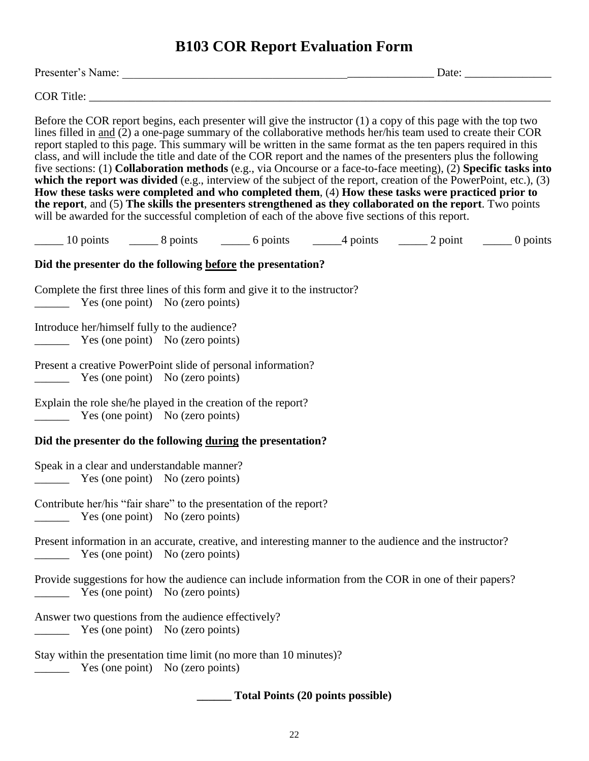## **B103 COR Report Evaluation Form**

| Presenter<br>ivame | Jate |  |
|--------------------|------|--|
|                    |      |  |

COR Title:

Before the COR report begins, each presenter will give the instructor (1) a copy of this page with the top two lines filled in and (2) a one-page summary of the collaborative methods her/his team used to create their COR report stapled to this page. This summary will be written in the same format as the ten papers required in this class, and will include the title and date of the COR report and the names of the presenters plus the following five sections: (1) **Collaboration methods** (e.g., via Oncourse or a face-to-face meeting), (2) **Specific tasks into**  which the report was divided (e.g., interview of the subject of the report, creation of the PowerPoint, etc.), (3) **How these tasks were completed and who completed them**, (4) **How these tasks were practiced prior to the report**, and (5) **The skills the presenters strengthened as they collaborated on the report**. Two points will be awarded for the successful completion of each of the above five sections of this report.

 $\frac{10 \text{ points}}{2}$   $\frac{10 \text{ points}}{2}$   $\frac{8 \text{ points}}{2}$   $\frac{6 \text{ points}}{2}$   $\frac{4 \text{ points}}{2}$   $\frac{2 \text{ point}}{2}$  0 points

### **Did the presenter do the following before the presentation?**

Complete the first three lines of this form and give it to the instructor? \_\_\_\_\_\_ Yes (one point) No (zero points)

Introduce her/himself fully to the audience? Yes (one point) No (zero points)

Present a creative PowerPoint slide of personal information? \_\_\_\_\_\_ Yes (one point) No (zero points)

Explain the role she/he played in the creation of the report? \_\_\_\_\_\_ Yes (one point) No (zero points)

### **Did the presenter do the following during the presentation?**

Speak in a clear and understandable manner? Yes (one point) No (zero points)

- Contribute her/his "fair share" to the presentation of the report? \_\_\_\_\_\_ Yes (one point) No (zero points)
- Present information in an accurate, creative, and interesting manner to the audience and the instructor? \_\_\_\_\_\_ Yes (one point) No (zero points)
- Provide suggestions for how the audience can include information from the COR in one of their papers? \_\_\_\_\_\_ Yes (one point) No (zero points)
- Answer two questions from the audience effectively? Yes (one point) No (zero points)
- Stay within the presentation time limit (no more than 10 minutes)? \_\_\_\_\_\_ Yes (one point) No (zero points)

**\_\_\_\_\_\_ Total Points (20 points possible)**